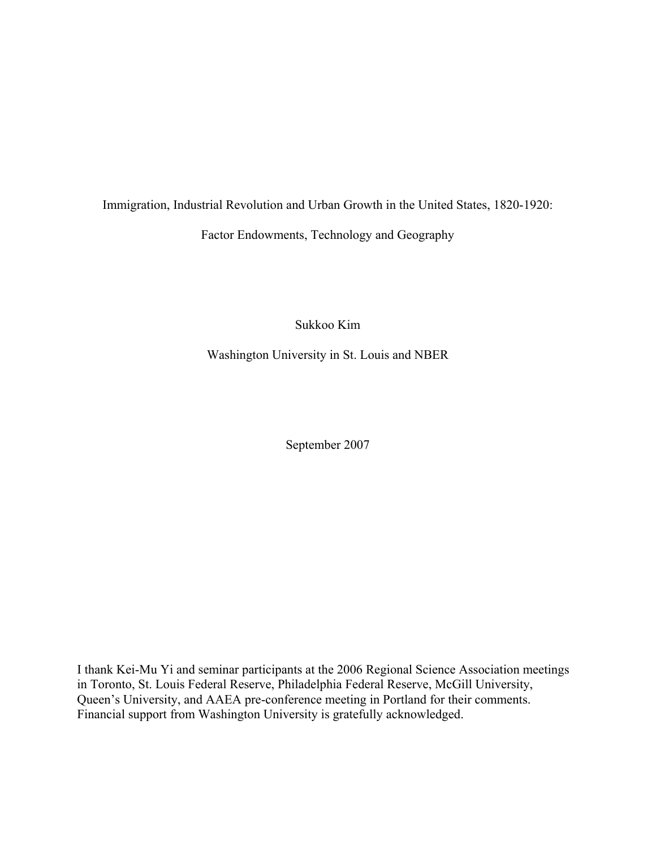Immigration, Industrial Revolution and Urban Growth in the United States, 1820-1920:

Factor Endowments, Technology and Geography

Sukkoo Kim

Washington University in St. Louis and NBER

September 2007

I thank Kei-Mu Yi and seminar participants at the 2006 Regional Science Association meetings in Toronto, St. Louis Federal Reserve, Philadelphia Federal Reserve, McGill University, Queen's University, and AAEA pre-conference meeting in Portland for their comments. Financial support from Washington University is gratefully acknowledged.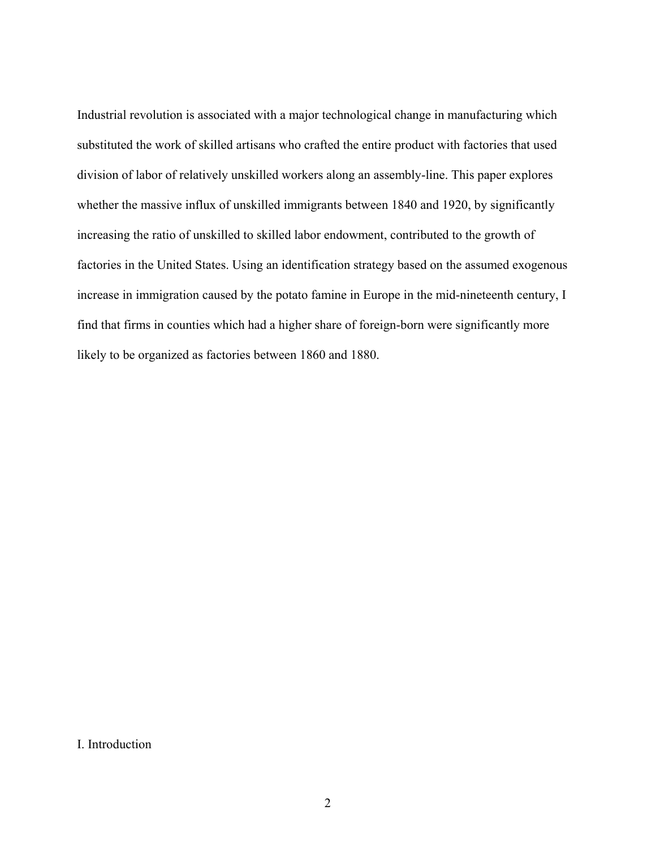Industrial revolution is associated with a major technological change in manufacturing which substituted the work of skilled artisans who crafted the entire product with factories that used division of labor of relatively unskilled workers along an assembly-line. This paper explores whether the massive influx of unskilled immigrants between 1840 and 1920, by significantly increasing the ratio of unskilled to skilled labor endowment, contributed to the growth of factories in the United States. Using an identification strategy based on the assumed exogenous increase in immigration caused by the potato famine in Europe in the mid-nineteenth century, I find that firms in counties which had a higher share of foreign-born were significantly more likely to be organized as factories between 1860 and 1880.

I. Introduction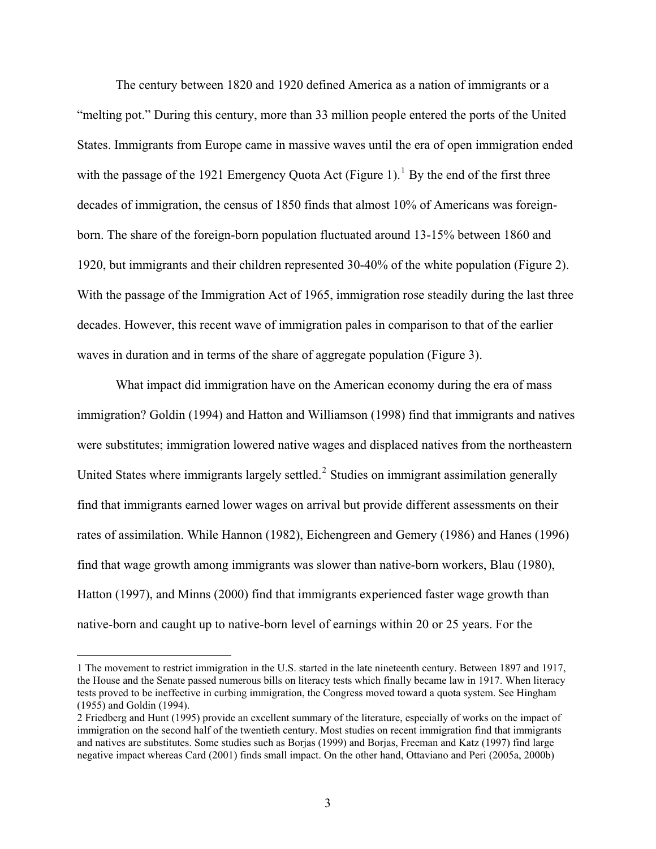The century between 1820 and 1920 defined America as a nation of immigrants or a "melting pot." During this century, more than 33 million people entered the ports of the United States. Immigrants from Europe came in massive waves until the era of open immigration ended with the passage of the [1](#page-2-0)921 Emergency Quota Act (Figure 1).<sup>1</sup> By the end of the first three decades of immigration, the census of 1850 finds that almost 10% of Americans was foreignborn. The share of the foreign-born population fluctuated around 13-15% between 1860 and 1920, but immigrants and their children represented 30-40% of the white population (Figure 2). With the passage of the Immigration Act of 1965, immigration rose steadily during the last three decades. However, this recent wave of immigration pales in comparison to that of the earlier waves in duration and in terms of the share of aggregate population (Figure 3).

 What impact did immigration have on the American economy during the era of mass immigration? Goldin (1994) and Hatton and Williamson (1998) find that immigrants and natives were substitutes; immigration lowered native wages and displaced natives from the northeastern United States where immigrants largely settled.<sup>[2](#page-2-1)</sup> Studies on immigrant assimilation generally find that immigrants earned lower wages on arrival but provide different assessments on their rates of assimilation. While Hannon (1982), Eichengreen and Gemery (1986) and Hanes (1996) find that wage growth among immigrants was slower than native-born workers, Blau (1980), Hatton (1997), and Minns (2000) find that immigrants experienced faster wage growth than native-born and caught up to native-born level of earnings within 20 or 25 years. For the

<span id="page-2-0"></span><sup>1</sup> The movement to restrict immigration in the U.S. started in the late nineteenth century. Between 1897 and 1917, the House and the Senate passed numerous bills on literacy tests which finally became law in 1917. When literacy tests proved to be ineffective in curbing immigration, the Congress moved toward a quota system. See Hingham (1955) and Goldin (1994).

<span id="page-2-1"></span><sup>2</sup> Friedberg and Hunt (1995) provide an excellent summary of the literature, especially of works on the impact of immigration on the second half of the twentieth century. Most studies on recent immigration find that immigrants and natives are substitutes. Some studies such as Borjas (1999) and Borjas, Freeman and Katz (1997) find large negative impact whereas Card (2001) finds small impact. On the other hand, Ottaviano and Peri (2005a, 2000b)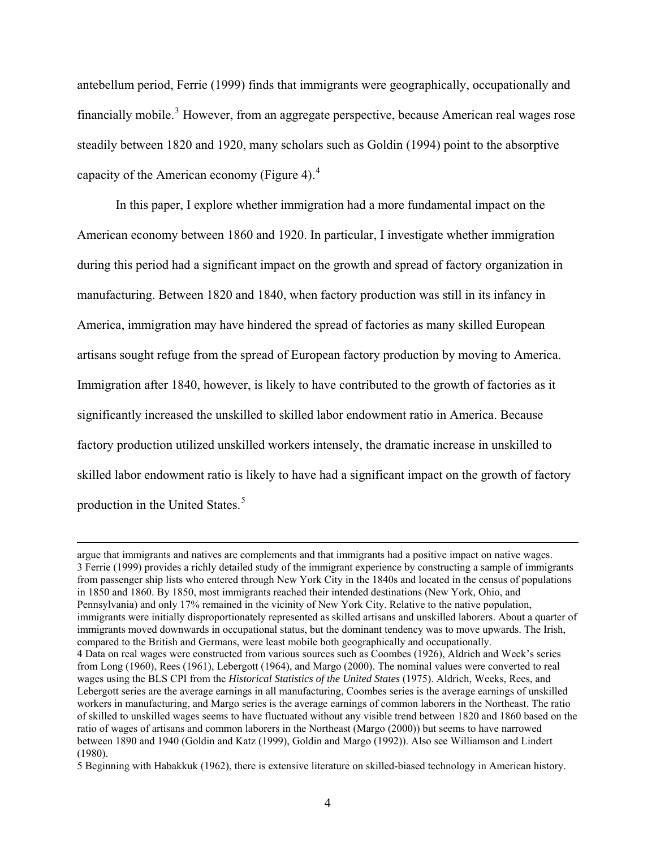<span id="page-3-0"></span>antebellum period, Ferrie (1999) finds that immigrants were geographically, occupationally and financially mobile.<sup>[3](#page-3-0)</sup> However, from an aggregate perspective, because American real wages rose steadily between 1820 and 1920, many scholars such as Goldin (1994) point to the absorptive capacity of the American economy (Figure [4](#page-3-0)). $4$ 

 In this paper, I explore whether immigration had a more fundamental impact on the American economy between 1860 and 1920. In particular, I investigate whether immigration during this period had a significant impact on the growth and spread of factory organization in manufacturing. Between 1820 and 1840, when factory production was still in its infancy in America, immigration may have hindered the spread of factories as many skilled European artisans sought refuge from the spread of European factory production by moving to America. Immigration after 1840, however, is likely to have contributed to the growth of factories as it significantly increased the unskilled to skilled labor endowment ratio in America. Because factory production utilized unskilled workers intensely, the dramatic increase in unskilled to skilled labor endowment ratio is likely to have had a significant impact on the growth of factory production in the United States.<sup>[5](#page-3-0)</sup>

argue that immigrants and natives are complements and that immigrants had a positive impact on native wages. 3 Ferrie (1999) provides a richly detailed study of the immigrant experience by constructing a sample of immigrants from passenger ship lists who entered through New York City in the 1840s and located in the census of populations in 1850 and 1860. By 1850, most immigrants reached their intended destinations (New York, Ohio, and Pennsylvania) and only 17% remained in the vicinity of New York City. Relative to the native population, immigrants were initially disproportionately represented as skilled artisans and unskilled laborers. About a quarter of immigrants moved downwards in occupational status, but the dominant tendency was to move upwards. The Irish, compared to the British and Germans, were least mobile both geographically and occupationally. 4 Data on real wages were constructed from various sources such as Coombes (1926), Aldrich and Week's series from Long (1960), Rees (1961), Lebergott (1964), and Margo (2000). The nominal values were converted to real wages using the BLS CPI from the *Historical Statistics of the United States* (1975). Aldrich, Weeks, Rees, and Lebergott series are the average earnings in all manufacturing, Coombes series is the average earnings of unskilled workers in manufacturing, and Margo series is the average earnings of common laborers in the Northeast. The ratio of skilled to unskilled wages seems to have fluctuated without any visible trend between 1820 and 1860 based on the ratio of wages of artisans and common laborers in the Northeast (Margo (2000)) but seems to have narrowed between 1890 and 1940 (Goldin and Katz (1999), Goldin and Margo (1992)). Also see Williamson and Lindert (1980).

<sup>5</sup> Beginning with Habakkuk (1962), there is extensive literature on skilled-biased technology in American history.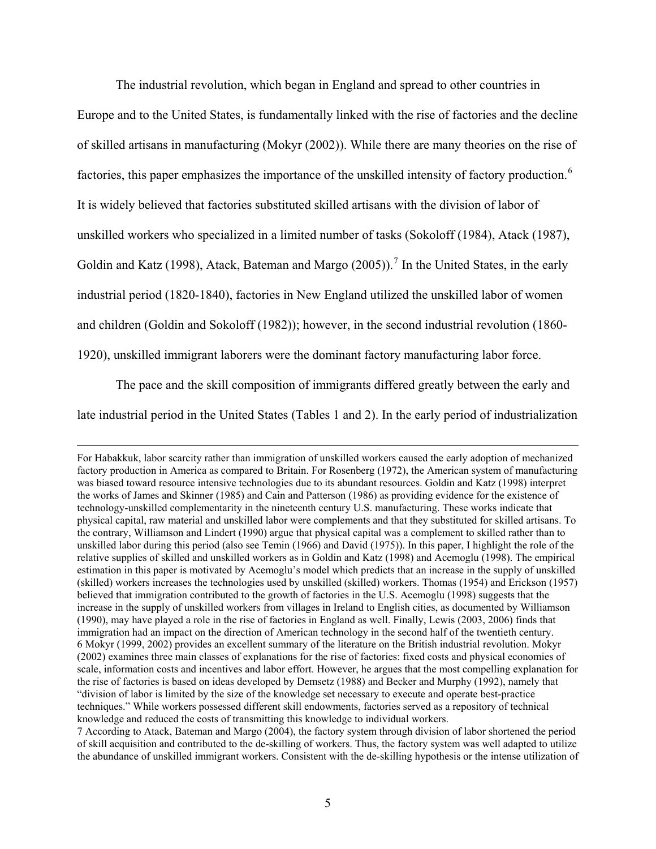The industrial revolution, which began in England and spread to other countries in

<span id="page-4-0"></span>Europe and to the United States, is fundamentally linked with the rise of factories and the decline of skilled artisans in manufacturing (Mokyr (2002)). While there are many theories on the rise of factories, this paper emphasizes the importance of the unskilled intensity of factory production.<sup>[6](#page-4-0)</sup> It is widely believed that factories substituted skilled artisans with the division of labor of unskilled workers who specialized in a limited number of tasks (Sokoloff (1984), Atack (1987), Goldin and Katz (1998), Atack, Bateman and Margo (2005)).<sup>[7](#page-4-0)</sup> In the United States, in the early industrial period (1820-1840), factories in New England utilized the unskilled labor of women and children (Goldin and Sokoloff (1982)); however, in the second industrial revolution (1860- 1920), unskilled immigrant laborers were the dominant factory manufacturing labor force.

The pace and the skill composition of immigrants differed greatly between the early and

late industrial period in the United States (Tables 1 and 2). In the early period of industrialization

For Habakkuk, labor scarcity rather than immigration of unskilled workers caused the early adoption of mechanized factory production in America as compared to Britain. For Rosenberg (1972), the American system of manufacturing was biased toward resource intensive technologies due to its abundant resources. Goldin and Katz (1998) interpret the works of James and Skinner (1985) and Cain and Patterson (1986) as providing evidence for the existence of technology-unskilled complementarity in the nineteenth century U.S. manufacturing. These works indicate that physical capital, raw material and unskilled labor were complements and that they substituted for skilled artisans. To the contrary, Williamson and Lindert (1990) argue that physical capital was a complement to skilled rather than to unskilled labor during this period (also see Temin (1966) and David (1975)). In this paper, I highlight the role of the relative supplies of skilled and unskilled workers as in Goldin and Katz (1998) and Acemoglu (1998). The empirical estimation in this paper is motivated by Acemoglu's model which predicts that an increase in the supply of unskilled (skilled) workers increases the technologies used by unskilled (skilled) workers. Thomas (1954) and Erickson (1957) believed that immigration contributed to the growth of factories in the U.S. Acemoglu (1998) suggests that the increase in the supply of unskilled workers from villages in Ireland to English cities, as documented by Williamson (1990), may have played a role in the rise of factories in England as well. Finally, Lewis (2003, 2006) finds that immigration had an impact on the direction of American technology in the second half of the twentieth century. 6 Mokyr (1999, 2002) provides an excellent summary of the literature on the British industrial revolution. Mokyr (2002) examines three main classes of explanations for the rise of factories: fixed costs and physical economies of scale, information costs and incentives and labor effort. However, he argues that the most compelling explanation for the rise of factories is based on ideas developed by Demsetz (1988) and Becker and Murphy (1992), namely that "division of labor is limited by the size of the knowledge set necessary to execute and operate best-practice techniques." While workers possessed different skill endowments, factories served as a repository of technical knowledge and reduced the costs of transmitting this knowledge to individual workers.

<sup>7</sup> According to Atack, Bateman and Margo (2004), the factory system through division of labor shortened the period of skill acquisition and contributed to the de-skilling of workers. Thus, the factory system was well adapted to utilize the abundance of unskilled immigrant workers. Consistent with the de-skilling hypothesis or the intense utilization of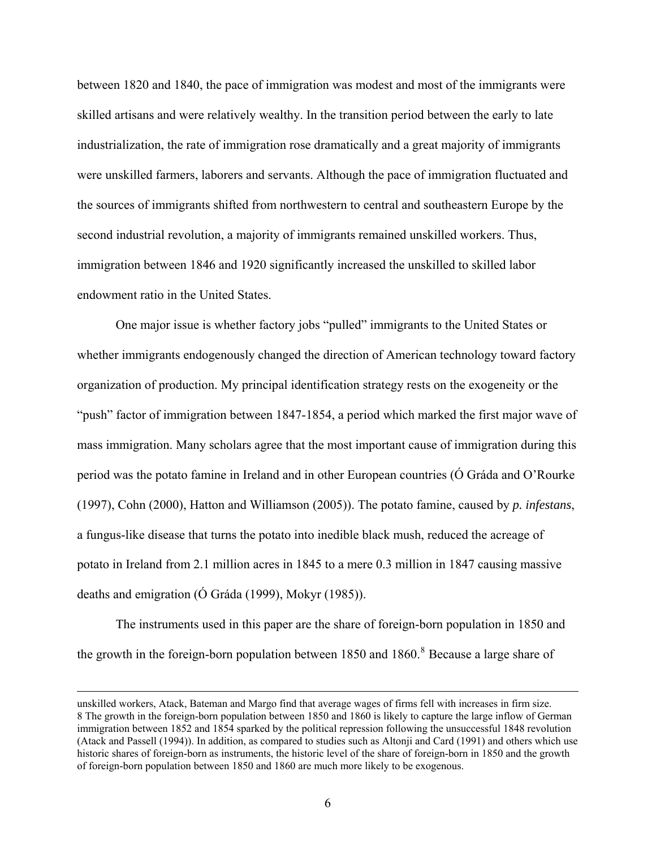<span id="page-5-0"></span>between 1820 and 1840, the pace of immigration was modest and most of the immigrants were skilled artisans and were relatively wealthy. In the transition period between the early to late industrialization, the rate of immigration rose dramatically and a great majority of immigrants were unskilled farmers, laborers and servants. Although the pace of immigration fluctuated and the sources of immigrants shifted from northwestern to central and southeastern Europe by the second industrial revolution, a majority of immigrants remained unskilled workers. Thus, immigration between 1846 and 1920 significantly increased the unskilled to skilled labor endowment ratio in the United States.

 One major issue is whether factory jobs "pulled" immigrants to the United States or whether immigrants endogenously changed the direction of American technology toward factory organization of production. My principal identification strategy rests on the exogeneity or the "push" factor of immigration between 1847-1854, a period which marked the first major wave of mass immigration. Many scholars agree that the most important cause of immigration during this period was the potato famine in Ireland and in other European countries (Ó Gráda and O'Rourke (1997), Cohn (2000), Hatton and Williamson (2005)). The potato famine, caused by *p. infestans*, a fungus-like disease that turns the potato into inedible black mush, reduced the acreage of potato in Ireland from 2.1 million acres in 1845 to a mere 0.3 million in 1847 causing massive deaths and emigration (Ó Gráda (1999), Mokyr (1985)).

 The instruments used in this paper are the share of foreign-born population in 1850 and the growth in the foreign-born population between  $1850$  $1850$  $1850$  and  $1860$ .<sup>8</sup> Because a large share of

unskilled workers, Atack, Bateman and Margo find that average wages of firms fell with increases in firm size. 8 The growth in the foreign-born population between 1850 and 1860 is likely to capture the large inflow of German immigration between 1852 and 1854 sparked by the political repression following the unsuccessful 1848 revolution (Atack and Passell (1994)). In addition, as compared to studies such as Altonji and Card (1991) and others which use historic shares of foreign-born as instruments, the historic level of the share of foreign-born in 1850 and the growth of foreign-born population between 1850 and 1860 are much more likely to be exogenous.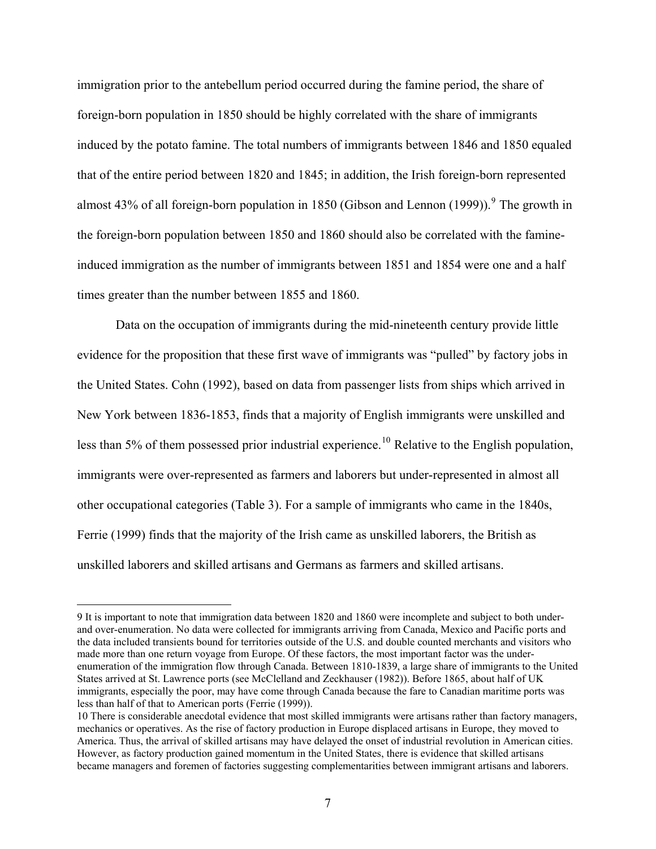<span id="page-6-0"></span>immigration prior to the antebellum period occurred during the famine period, the share of foreign-born population in 1850 should be highly correlated with the share of immigrants induced by the potato famine. The total numbers of immigrants between 1846 and 1850 equaled that of the entire period between 1820 and 1845; in addition, the Irish foreign-born represented almost 43% of all foreign-born population in 1850 (Gibson and Lennon  $(1999)$  $(1999)$  $(1999)$ ).<sup>9</sup> The growth in the foreign-born population between 1850 and 1860 should also be correlated with the famineinduced immigration as the number of immigrants between 1851 and 1854 were one and a half times greater than the number between 1855 and 1860.

 Data on the occupation of immigrants during the mid-nineteenth century provide little evidence for the proposition that these first wave of immigrants was "pulled" by factory jobs in the United States. Cohn (1992), based on data from passenger lists from ships which arrived in New York between 1836-1853, finds that a majority of English immigrants were unskilled and less than 5% of them possessed prior industrial experience.<sup>[10](#page-6-0)</sup> Relative to the English population, immigrants were over-represented as farmers and laborers but under-represented in almost all other occupational categories (Table 3). For a sample of immigrants who came in the 1840s, Ferrie (1999) finds that the majority of the Irish came as unskilled laborers, the British as unskilled laborers and skilled artisans and Germans as farmers and skilled artisans.

<sup>9</sup> It is important to note that immigration data between 1820 and 1860 were incomplete and subject to both underand over-enumeration. No data were collected for immigrants arriving from Canada, Mexico and Pacific ports and the data included transients bound for territories outside of the U.S. and double counted merchants and visitors who made more than one return voyage from Europe. Of these factors, the most important factor was the underenumeration of the immigration flow through Canada. Between 1810-1839, a large share of immigrants to the United States arrived at St. Lawrence ports (see McClelland and Zeckhauser (1982)). Before 1865, about half of UK immigrants, especially the poor, may have come through Canada because the fare to Canadian maritime ports was less than half of that to American ports (Ferrie (1999)).

<sup>10</sup> There is considerable anecdotal evidence that most skilled immigrants were artisans rather than factory managers, mechanics or operatives. As the rise of factory production in Europe displaced artisans in Europe, they moved to America. Thus, the arrival of skilled artisans may have delayed the onset of industrial revolution in American cities. However, as factory production gained momentum in the United States, there is evidence that skilled artisans became managers and foremen of factories suggesting complementarities between immigrant artisans and laborers.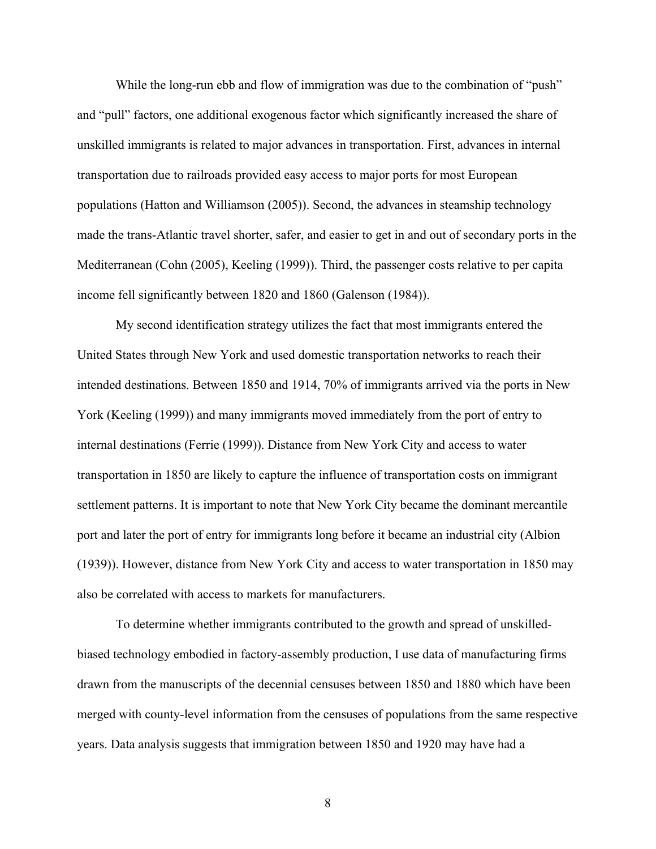While the long-run ebb and flow of immigration was due to the combination of "push" and "pull" factors, one additional exogenous factor which significantly increased the share of unskilled immigrants is related to major advances in transportation. First, advances in internal transportation due to railroads provided easy access to major ports for most European populations (Hatton and Williamson (2005)). Second, the advances in steamship technology made the trans-Atlantic travel shorter, safer, and easier to get in and out of secondary ports in the Mediterranean (Cohn (2005), Keeling (1999)). Third, the passenger costs relative to per capita income fell significantly between 1820 and 1860 (Galenson (1984)).

 My second identification strategy utilizes the fact that most immigrants entered the United States through New York and used domestic transportation networks to reach their intended destinations. Between 1850 and 1914, 70% of immigrants arrived via the ports in New York (Keeling (1999)) and many immigrants moved immediately from the port of entry to internal destinations (Ferrie (1999)). Distance from New York City and access to water transportation in 1850 are likely to capture the influence of transportation costs on immigrant settlement patterns. It is important to note that New York City became the dominant mercantile port and later the port of entry for immigrants long before it became an industrial city (Albion (1939)). However, distance from New York City and access to water transportation in 1850 may also be correlated with access to markets for manufacturers.

 To determine whether immigrants contributed to the growth and spread of unskilledbiased technology embodied in factory-assembly production, I use data of manufacturing firms drawn from the manuscripts of the decennial censuses between 1850 and 1880 which have been merged with county-level information from the censuses of populations from the same respective years. Data analysis suggests that immigration between 1850 and 1920 may have had a

8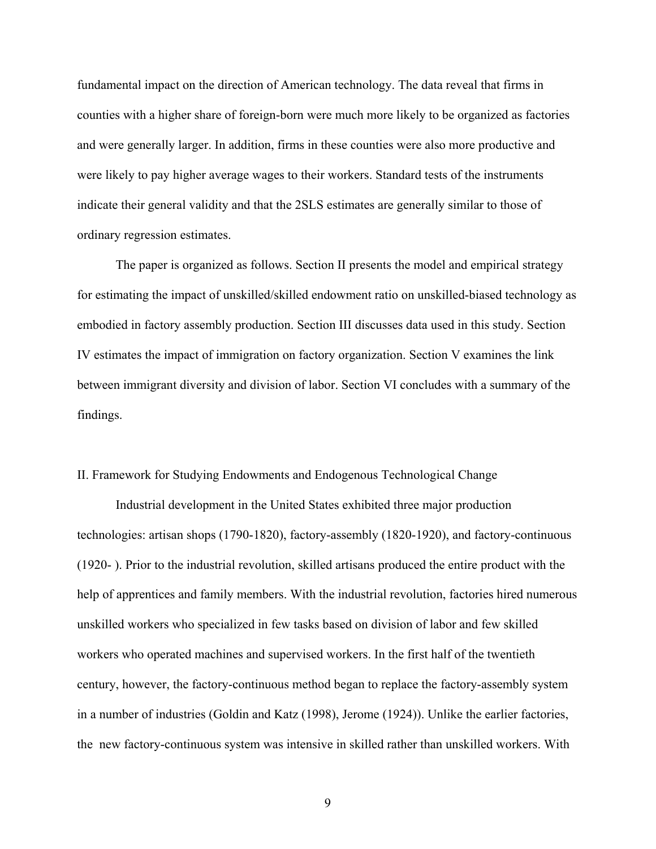fundamental impact on the direction of American technology. The data reveal that firms in counties with a higher share of foreign-born were much more likely to be organized as factories and were generally larger. In addition, firms in these counties were also more productive and were likely to pay higher average wages to their workers. Standard tests of the instruments indicate their general validity and that the 2SLS estimates are generally similar to those of ordinary regression estimates.

 The paper is organized as follows. Section II presents the model and empirical strategy for estimating the impact of unskilled/skilled endowment ratio on unskilled-biased technology as embodied in factory assembly production. Section III discusses data used in this study. Section IV estimates the impact of immigration on factory organization. Section V examines the link between immigrant diversity and division of labor. Section VI concludes with a summary of the findings.

## II. Framework for Studying Endowments and Endogenous Technological Change

 Industrial development in the United States exhibited three major production technologies: artisan shops (1790-1820), factory-assembly (1820-1920), and factory-continuous (1920- ). Prior to the industrial revolution, skilled artisans produced the entire product with the help of apprentices and family members. With the industrial revolution, factories hired numerous unskilled workers who specialized in few tasks based on division of labor and few skilled workers who operated machines and supervised workers. In the first half of the twentieth century, however, the factory-continuous method began to replace the factory-assembly system in a number of industries (Goldin and Katz (1998), Jerome (1924)). Unlike the earlier factories, the new factory-continuous system was intensive in skilled rather than unskilled workers. With

9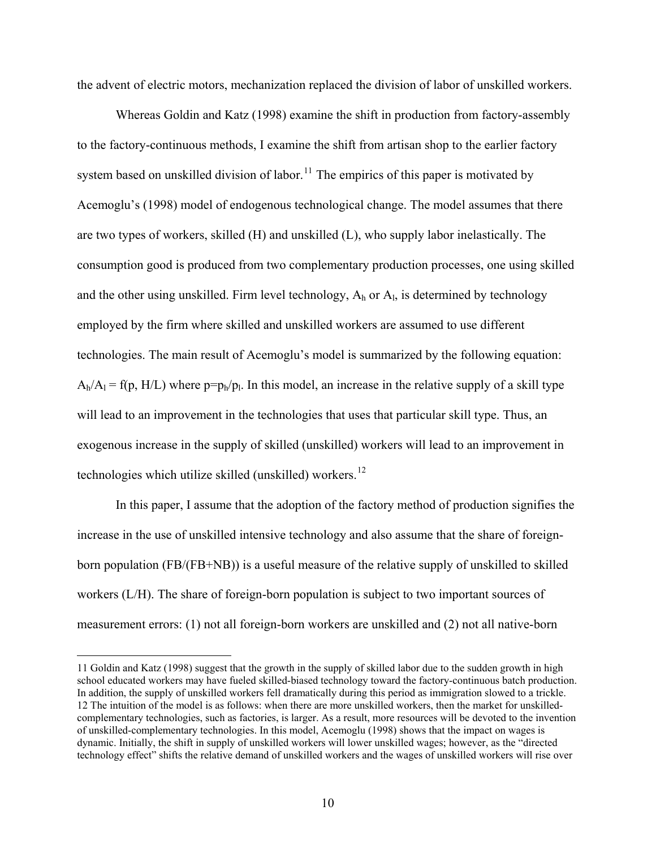<span id="page-9-0"></span>the advent of electric motors, mechanization replaced the division of labor of unskilled workers.

 Whereas Goldin and Katz (1998) examine the shift in production from factory-assembly to the factory-continuous methods, I examine the shift from artisan shop to the earlier factory system based on unskilled division of labor.<sup>[11](#page-9-0)</sup> The empirics of this paper is motivated by Acemoglu's (1998) model of endogenous technological change. The model assumes that there are two types of workers, skilled (H) and unskilled (L), who supply labor inelastically. The consumption good is produced from two complementary production processes, one using skilled and the other using unskilled. Firm level technology,  $A_h$  or  $A_l$ , is determined by technology employed by the firm where skilled and unskilled workers are assumed to use different technologies. The main result of Acemoglu's model is summarized by the following equation:  $A_h/A_l = f(p, H/L)$  where  $p=p_h/p_l$ . In this model, an increase in the relative supply of a skill type will lead to an improvement in the technologies that uses that particular skill type. Thus, an exogenous increase in the supply of skilled (unskilled) workers will lead to an improvement in technologies which utilize skilled (unskilled) workers.<sup>[12](#page-9-0)</sup>

 In this paper, I assume that the adoption of the factory method of production signifies the increase in the use of unskilled intensive technology and also assume that the share of foreignborn population (FB/(FB+NB)) is a useful measure of the relative supply of unskilled to skilled workers (L/H). The share of foreign-born population is subject to two important sources of measurement errors: (1) not all foreign-born workers are unskilled and (2) not all native-born

<sup>11</sup> Goldin and Katz (1998) suggest that the growth in the supply of skilled labor due to the sudden growth in high school educated workers may have fueled skilled-biased technology toward the factory-continuous batch production. In addition, the supply of unskilled workers fell dramatically during this period as immigration slowed to a trickle. 12 The intuition of the model is as follows: when there are more unskilled workers, then the market for unskilledcomplementary technologies, such as factories, is larger. As a result, more resources will be devoted to the invention of unskilled-complementary technologies. In this model, Acemoglu (1998) shows that the impact on wages is dynamic. Initially, the shift in supply of unskilled workers will lower unskilled wages; however, as the "directed technology effect" shifts the relative demand of unskilled workers and the wages of unskilled workers will rise over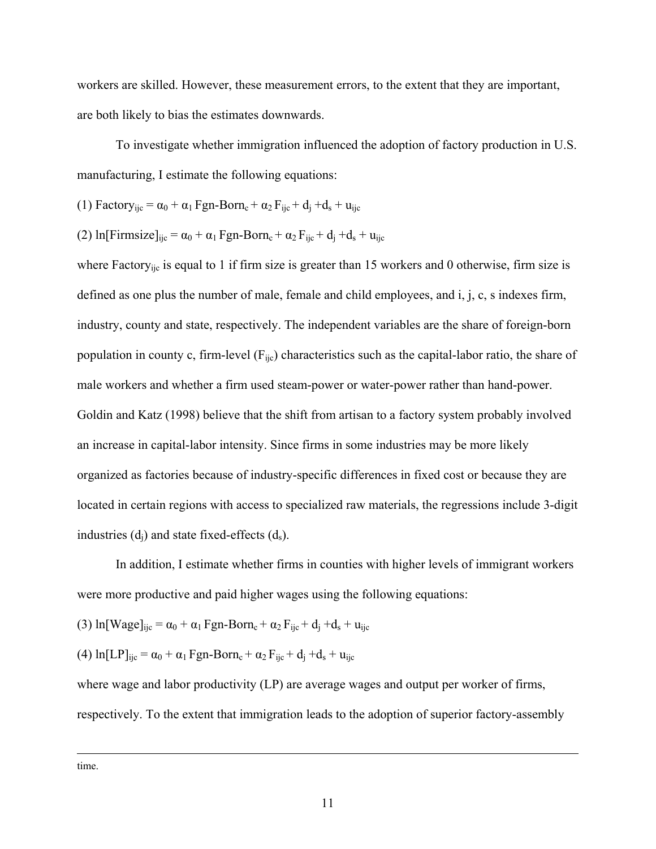workers are skilled. However, these measurement errors, to the extent that they are important, are both likely to bias the estimates downwards.

 To investigate whether immigration influenced the adoption of factory production in U.S. manufacturing, I estimate the following equations:

(1) 
$$
Factory_{ijc} = \alpha_0 + \alpha_1 Fgn-Born_c + \alpha_2 F_{ijc} + d_j + d_s + u_{ijc}
$$

(2) In[Firmsize]<sub>ije</sub> = 
$$
\alpha_0 + \alpha_1 Fgn-Born_c + \alpha_2 F_{ijc} + d_j + d_s + u_{ijc}
$$

where Factory<sub>ijc</sub> is equal to 1 if firm size is greater than 15 workers and 0 otherwise, firm size is defined as one plus the number of male, female and child employees, and i, j, c, s indexes firm, industry, county and state, respectively. The independent variables are the share of foreign-born population in county c, firm-level  $(F_{\text{ijc}})$  characteristics such as the capital-labor ratio, the share of male workers and whether a firm used steam-power or water-power rather than hand-power. Goldin and Katz (1998) believe that the shift from artisan to a factory system probably involved an increase in capital-labor intensity. Since firms in some industries may be more likely organized as factories because of industry-specific differences in fixed cost or because they are located in certain regions with access to specialized raw materials, the regressions include 3-digit industries  $(d_i)$  and state fixed-effects  $(d_s)$ .

 In addition, I estimate whether firms in counties with higher levels of immigrant workers were more productive and paid higher wages using the following equations:

(3) 
$$
\ln[\text{Wage}]_{ijc} = \alpha_0 + \alpha_1 \text{ Fgn-Born}_c + \alpha_2 \text{F}_{ijc} + d_j + d_s + u_{ijc}
$$

(4) 
$$
\ln[\text{LP}]_{ijc} = \alpha_0 + \alpha_1 \text{ Fgn-Born}_c + \alpha_2 \text{F}_{ijc} + d_j + d_s + u_{ijc}
$$

where wage and labor productivity (LP) are average wages and output per worker of firms, respectively. To the extent that immigration leads to the adoption of superior factory-assembly

time.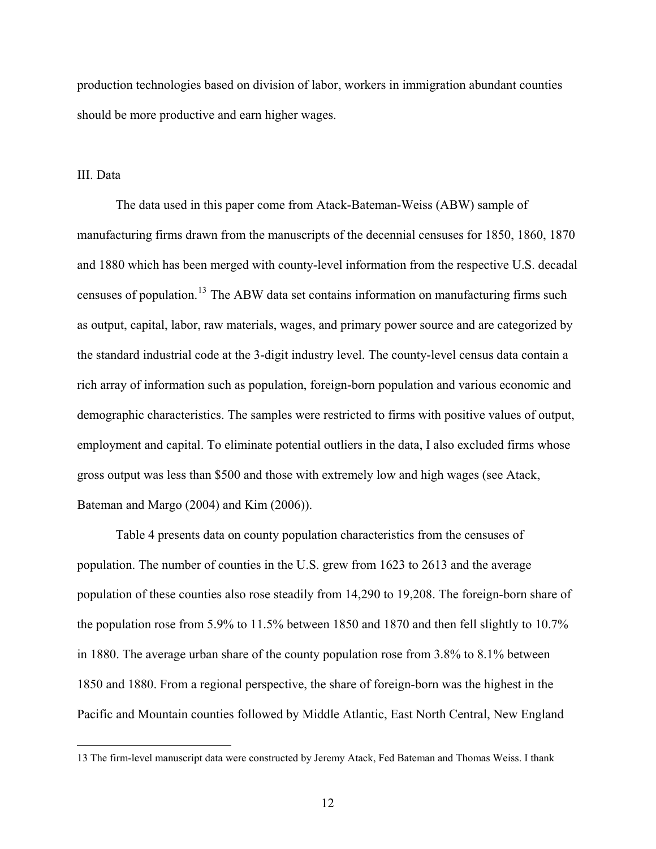<span id="page-11-0"></span>production technologies based on division of labor, workers in immigration abundant counties should be more productive and earn higher wages.

### III. Data

 $\overline{a}$ 

 The data used in this paper come from Atack-Bateman-Weiss (ABW) sample of manufacturing firms drawn from the manuscripts of the decennial censuses for 1850, 1860, 1870 and 1880 which has been merged with county-level information from the respective U.S. decadal censuses of population.<sup>[13](#page-11-0)</sup> The ABW data set contains information on manufacturing firms such as output, capital, labor, raw materials, wages, and primary power source and are categorized by the standard industrial code at the 3-digit industry level. The county-level census data contain a rich array of information such as population, foreign-born population and various economic and demographic characteristics. The samples were restricted to firms with positive values of output, employment and capital. To eliminate potential outliers in the data, I also excluded firms whose gross output was less than \$500 and those with extremely low and high wages (see Atack, Bateman and Margo (2004) and Kim (2006)).

 Table 4 presents data on county population characteristics from the censuses of population. The number of counties in the U.S. grew from 1623 to 2613 and the average population of these counties also rose steadily from 14,290 to 19,208. The foreign-born share of the population rose from 5.9% to 11.5% between 1850 and 1870 and then fell slightly to 10.7% in 1880. The average urban share of the county population rose from 3.8% to 8.1% between 1850 and 1880. From a regional perspective, the share of foreign-born was the highest in the Pacific and Mountain counties followed by Middle Atlantic, East North Central, New England

<sup>13</sup> The firm-level manuscript data were constructed by Jeremy Atack, Fed Bateman and Thomas Weiss. I thank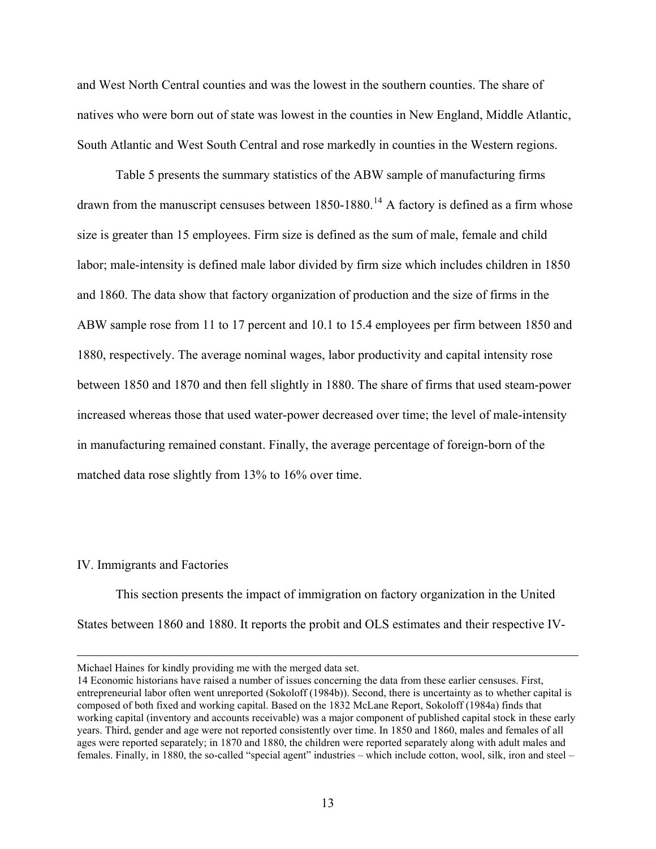<span id="page-12-0"></span>and West North Central counties and was the lowest in the southern counties. The share of natives who were born out of state was lowest in the counties in New England, Middle Atlantic, South Atlantic and West South Central and rose markedly in counties in the Western regions.

 Table 5 presents the summary statistics of the ABW sample of manufacturing firms drawn from the manuscript censuses between  $1850-1880$ .<sup>[14](#page-12-0)</sup> A factory is defined as a firm whose size is greater than 15 employees. Firm size is defined as the sum of male, female and child labor; male-intensity is defined male labor divided by firm size which includes children in 1850 and 1860. The data show that factory organization of production and the size of firms in the ABW sample rose from 11 to 17 percent and 10.1 to 15.4 employees per firm between 1850 and 1880, respectively. The average nominal wages, labor productivity and capital intensity rose between 1850 and 1870 and then fell slightly in 1880. The share of firms that used steam-power increased whereas those that used water-power decreased over time; the level of male-intensity in manufacturing remained constant. Finally, the average percentage of foreign-born of the matched data rose slightly from 13% to 16% over time.

### IV. Immigrants and Factories

 This section presents the impact of immigration on factory organization in the United States between 1860 and 1880. It reports the probit and OLS estimates and their respective IV-

Michael Haines for kindly providing me with the merged data set.

<sup>14</sup> Economic historians have raised a number of issues concerning the data from these earlier censuses. First, entrepreneurial labor often went unreported (Sokoloff (1984b)). Second, there is uncertainty as to whether capital is composed of both fixed and working capital. Based on the 1832 McLane Report, Sokoloff (1984a) finds that working capital (inventory and accounts receivable) was a major component of published capital stock in these early years. Third, gender and age were not reported consistently over time. In 1850 and 1860, males and females of all ages were reported separately; in 1870 and 1880, the children were reported separately along with adult males and females. Finally, in 1880, the so-called "special agent" industries – which include cotton, wool, silk, iron and steel –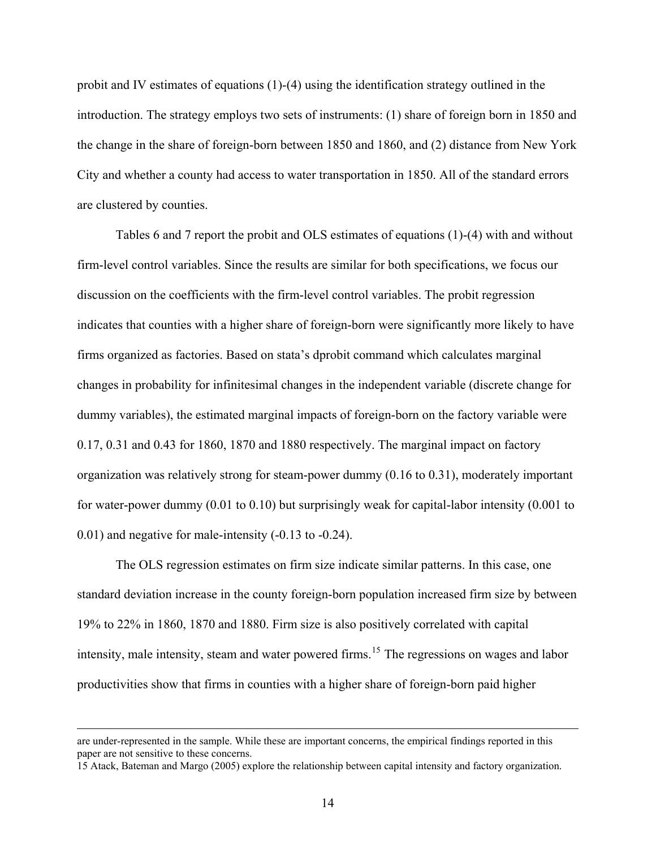<span id="page-13-0"></span>probit and IV estimates of equations (1)-(4) using the identification strategy outlined in the introduction. The strategy employs two sets of instruments: (1) share of foreign born in 1850 and the change in the share of foreign-born between 1850 and 1860, and (2) distance from New York City and whether a county had access to water transportation in 1850. All of the standard errors are clustered by counties.

 Tables 6 and 7 report the probit and OLS estimates of equations (1)-(4) with and without firm-level control variables. Since the results are similar for both specifications, we focus our discussion on the coefficients with the firm-level control variables. The probit regression indicates that counties with a higher share of foreign-born were significantly more likely to have firms organized as factories. Based on stata's dprobit command which calculates marginal changes in probability for infinitesimal changes in the independent variable (discrete change for dummy variables), the estimated marginal impacts of foreign-born on the factory variable were 0.17, 0.31 and 0.43 for 1860, 1870 and 1880 respectively. The marginal impact on factory organization was relatively strong for steam-power dummy (0.16 to 0.31), moderately important for water-power dummy (0.01 to 0.10) but surprisingly weak for capital-labor intensity (0.001 to 0.01) and negative for male-intensity (-0.13 to -0.24).

 The OLS regression estimates on firm size indicate similar patterns. In this case, one standard deviation increase in the county foreign-born population increased firm size by between 19% to 22% in 1860, 1870 and 1880. Firm size is also positively correlated with capital intensity, male intensity, steam and water powered firms.<sup>[15](#page-13-0)</sup> The regressions on wages and labor productivities show that firms in counties with a higher share of foreign-born paid higher

are under-represented in the sample. While these are important concerns, the empirical findings reported in this paper are not sensitive to these concerns.

<sup>15</sup> Atack, Bateman and Margo (2005) explore the relationship between capital intensity and factory organization.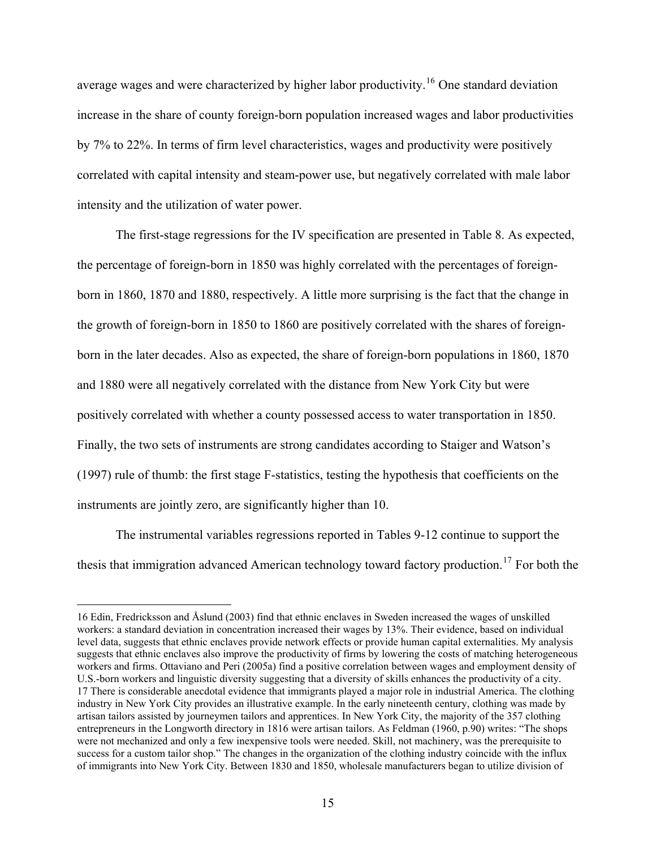<span id="page-14-0"></span>average wages and were characterized by higher labor productivity.<sup>[16](#page-14-0)</sup> One standard deviation increase in the share of county foreign-born population increased wages and labor productivities by 7% to 22%. In terms of firm level characteristics, wages and productivity were positively correlated with capital intensity and steam-power use, but negatively correlated with male labor intensity and the utilization of water power.

 The first-stage regressions for the IV specification are presented in Table 8. As expected, the percentage of foreign-born in 1850 was highly correlated with the percentages of foreignborn in 1860, 1870 and 1880, respectively. A little more surprising is the fact that the change in the growth of foreign-born in 1850 to 1860 are positively correlated with the shares of foreignborn in the later decades. Also as expected, the share of foreign-born populations in 1860, 1870 and 1880 were all negatively correlated with the distance from New York City but were positively correlated with whether a county possessed access to water transportation in 1850. Finally, the two sets of instruments are strong candidates according to Staiger and Watson's (1997) rule of thumb: the first stage F-statistics, testing the hypothesis that coefficients on the instruments are jointly zero, are significantly higher than 10.

 The instrumental variables regressions reported in Tables 9-12 continue to support the thesis that immigration advanced American technology toward factory production.<sup>[17](#page-14-0)</sup> For both the

<sup>16</sup> Edin, Fredricksson and Åslund (2003) find that ethnic enclaves in Sweden increased the wages of unskilled workers: a standard deviation in concentration increased their wages by 13%. Their evidence, based on individual level data, suggests that ethnic enclaves provide network effects or provide human capital externalities. My analysis suggests that ethnic enclaves also improve the productivity of firms by lowering the costs of matching heterogeneous workers and firms. Ottaviano and Peri (2005a) find a positive correlation between wages and employment density of U.S.-born workers and linguistic diversity suggesting that a diversity of skills enhances the productivity of a city. 17 There is considerable anecdotal evidence that immigrants played a major role in industrial America. The clothing industry in New York City provides an illustrative example. In the early nineteenth century, clothing was made by artisan tailors assisted by journeymen tailors and apprentices. In New York City, the majority of the 357 clothing entrepreneurs in the Longworth directory in 1816 were artisan tailors. As Feldman (1960, p.90) writes: "The shops were not mechanized and only a few inexpensive tools were needed. Skill, not machinery, was the prerequisite to success for a custom tailor shop." The changes in the organization of the clothing industry coincide with the influx of immigrants into New York City. Between 1830 and 1850, wholesale manufacturers began to utilize division of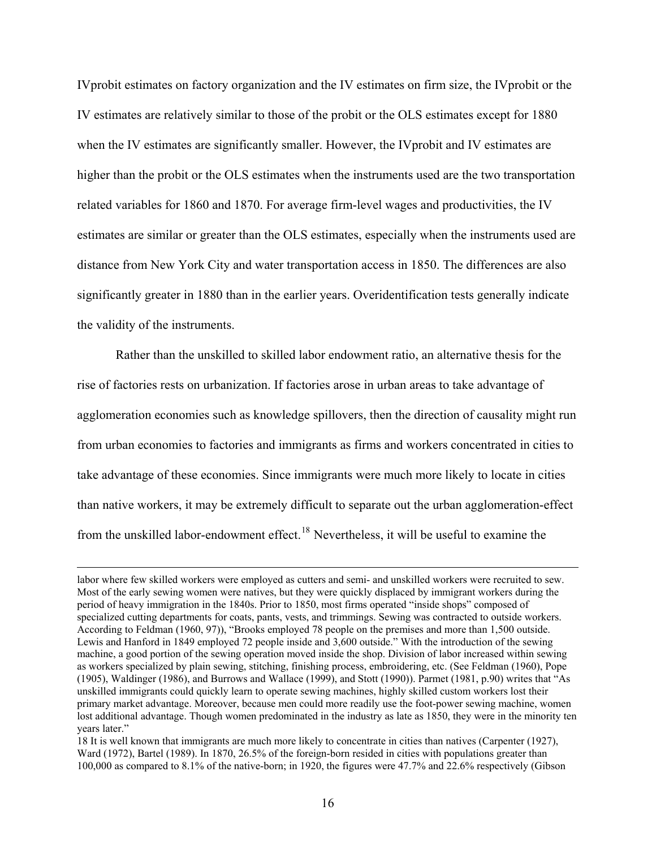<span id="page-15-0"></span>IVprobit estimates on factory organization and the IV estimates on firm size, the IVprobit or the IV estimates are relatively similar to those of the probit or the OLS estimates except for 1880 when the IV estimates are significantly smaller. However, the IVprobit and IV estimates are higher than the probit or the OLS estimates when the instruments used are the two transportation related variables for 1860 and 1870. For average firm-level wages and productivities, the IV estimates are similar or greater than the OLS estimates, especially when the instruments used are distance from New York City and water transportation access in 1850. The differences are also significantly greater in 1880 than in the earlier years. Overidentification tests generally indicate the validity of the instruments.

 Rather than the unskilled to skilled labor endowment ratio, an alternative thesis for the rise of factories rests on urbanization. If factories arose in urban areas to take advantage of agglomeration economies such as knowledge spillovers, then the direction of causality might run from urban economies to factories and immigrants as firms and workers concentrated in cities to take advantage of these economies. Since immigrants were much more likely to locate in cities than native workers, it may be extremely difficult to separate out the urban agglomeration-effect from the unskilled labor-endowment effect.<sup>18</sup> Nevertheless, it will be useful to examine the

labor where few skilled workers were employed as cutters and semi- and unskilled workers were recruited to sew. Most of the early sewing women were natives, but they were quickly displaced by immigrant workers during the period of heavy immigration in the 1840s. Prior to 1850, most firms operated "inside shops" composed of specialized cutting departments for coats, pants, vests, and trimmings. Sewing was contracted to outside workers. According to Feldman (1960, 97)), "Brooks employed 78 people on the premises and more than 1,500 outside. Lewis and Hanford in 1849 employed 72 people inside and 3,600 outside." With the introduction of the sewing machine, a good portion of the sewing operation moved inside the shop. Division of labor increased within sewing as workers specialized by plain sewing, stitching, finishing process, embroidering, etc. (See Feldman (1960), Pope (1905), Waldinger (1986), and Burrows and Wallace (1999), and Stott (1990)). Parmet (1981, p.90) writes that "As unskilled immigrants could quickly learn to operate sewing machines, highly skilled custom workers lost their primary market advantage. Moreover, because men could more readily use the foot-power sewing machine, women lost additional advantage. Though women predominated in the industry as late as 1850, they were in the minority ten years later."

<sup>18</sup> It is well known that immigrants are much more likely to concentrate in cities than natives (Carpenter (1927), Ward (1972), Bartel (1989). In 1870, 26.5% of the foreign-born resided in cities with populations greater than 100,000 as compared to 8.1% of the native-born; in 1920, the figures were 47.7% and 22.6% respectively (Gibson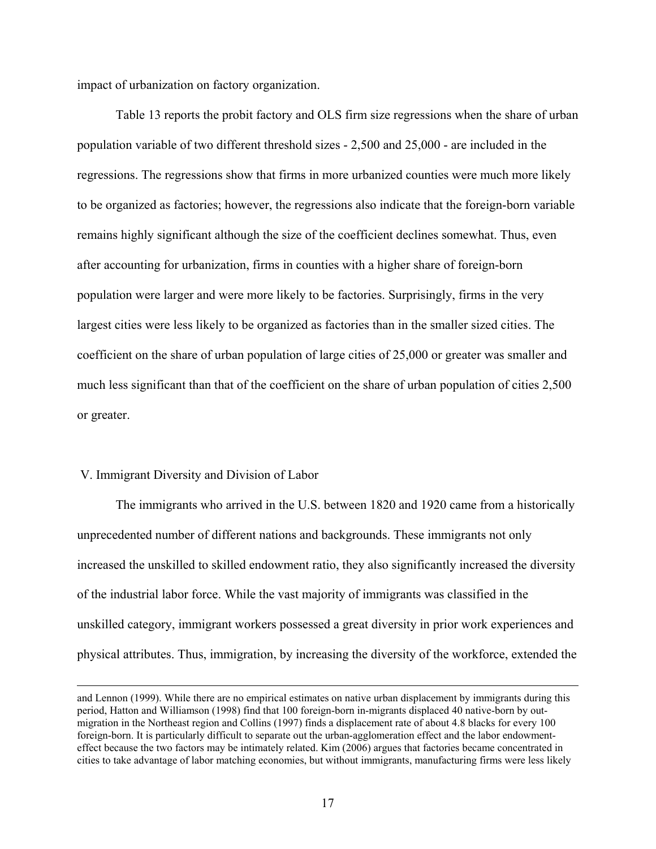impact of urbanization on factory organization.

 Table 13 reports the probit factory and OLS firm size regressions when the share of urban population variable of two different threshold sizes - 2,500 and 25,000 - are included in the regressions. The regressions show that firms in more urbanized counties were much more likely to be organized as factories; however, the regressions also indicate that the foreign-born variable remains highly significant although the size of the coefficient declines somewhat. Thus, even after accounting for urbanization, firms in counties with a higher share of foreign-born population were larger and were more likely to be factories. Surprisingly, firms in the very largest cities were less likely to be organized as factories than in the smaller sized cities. The coefficient on the share of urban population of large cities of 25,000 or greater was smaller and much less significant than that of the coefficient on the share of urban population of cities 2,500 or greater.

# V. Immigrant Diversity and Division of Labor

 The immigrants who arrived in the U.S. between 1820 and 1920 came from a historically unprecedented number of different nations and backgrounds. These immigrants not only increased the unskilled to skilled endowment ratio, they also significantly increased the diversity of the industrial labor force. While the vast majority of immigrants was classified in the unskilled category, immigrant workers possessed a great diversity in prior work experiences and physical attributes. Thus, immigration, by increasing the diversity of the workforce, extended the

and Lennon (1999). While there are no empirical estimates on native urban displacement by immigrants during this period, Hatton and Williamson (1998) find that 100 foreign-born in-migrants displaced 40 native-born by outmigration in the Northeast region and Collins (1997) finds a displacement rate of about 4.8 blacks for every 100 foreign-born. It is particularly difficult to separate out the urban-agglomeration effect and the labor endowmenteffect because the two factors may be intimately related. Kim (2006) argues that factories became concentrated in cities to take advantage of labor matching economies, but without immigrants, manufacturing firms were less likely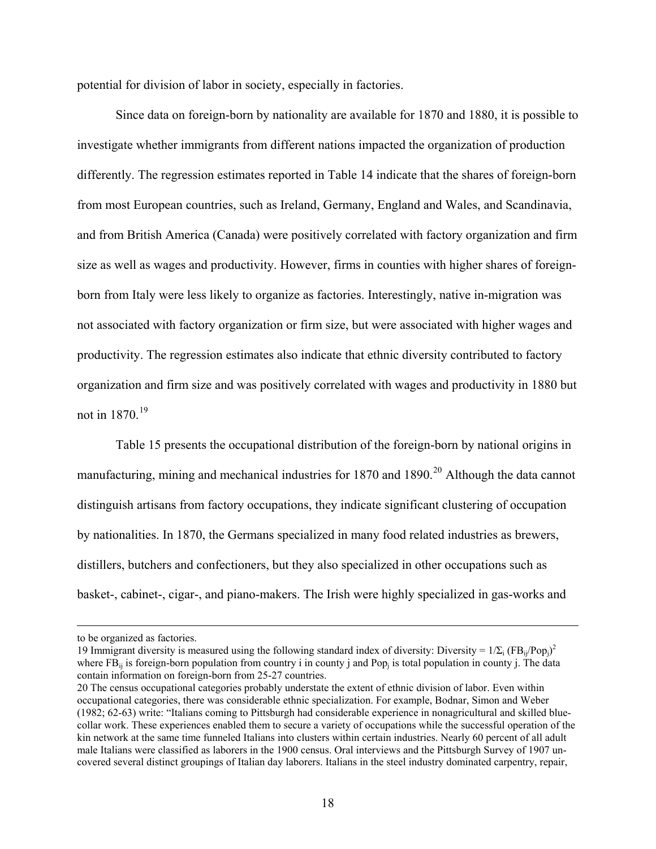<span id="page-17-0"></span>potential for division of labor in society, especially in factories.

 Since data on foreign-born by nationality are available for 1870 and 1880, it is possible to investigate whether immigrants from different nations impacted the organization of production differently. The regression estimates reported in Table 14 indicate that the shares of foreign-born from most European countries, such as Ireland, Germany, England and Wales, and Scandinavia, and from British America (Canada) were positively correlated with factory organization and firm size as well as wages and productivity. However, firms in counties with higher shares of foreignborn from Italy were less likely to organize as factories. Interestingly, native in-migration was not associated with factory organization or firm size, but were associated with higher wages and productivity. The regression estimates also indicate that ethnic diversity contributed to factory organization and firm size and was positively correlated with wages and productivity in 1880 but not in 1870.[19](#page-17-0)

 Table 15 presents the occupational distribution of the foreign-born by national origins in manufacturing, mining and mechanical industries for 1870 and 1890.<sup>[20](#page-17-0)</sup> Although the data cannot distinguish artisans from factory occupations, they indicate significant clustering of occupation by nationalities. In 1870, the Germans specialized in many food related industries as brewers, distillers, butchers and confectioners, but they also specialized in other occupations such as basket-, cabinet-, cigar-, and piano-makers. The Irish were highly specialized in gas-works and

to be organized as factories.

<sup>19</sup> Immigrant diversity is measured using the following standard index of diversity: Diversity =  $1/\Sigma_i$  (FB<sub>ij</sub>/Pop<sub>j</sub>)<sup>2</sup> where  $FB_{ii}$  is foreign-born population from country i in county j and Pop<sub>i</sub> is total population in county j. The data contain information on foreign-born from 25-27 countries.

<sup>20</sup> The census occupational categories probably understate the extent of ethnic division of labor. Even within occupational categories, there was considerable ethnic specialization. For example, Bodnar, Simon and Weber (1982; 62-63) write: "Italians coming to Pittsburgh had considerable experience in nonagricultural and skilled bluecollar work. These experiences enabled them to secure a variety of occupations while the successful operation of the kin network at the same time funneled Italians into clusters within certain industries. Nearly 60 percent of all adult male Italians were classified as laborers in the 1900 census. Oral interviews and the Pittsburgh Survey of 1907 uncovered several distinct groupings of Italian day laborers. Italians in the steel industry dominated carpentry, repair,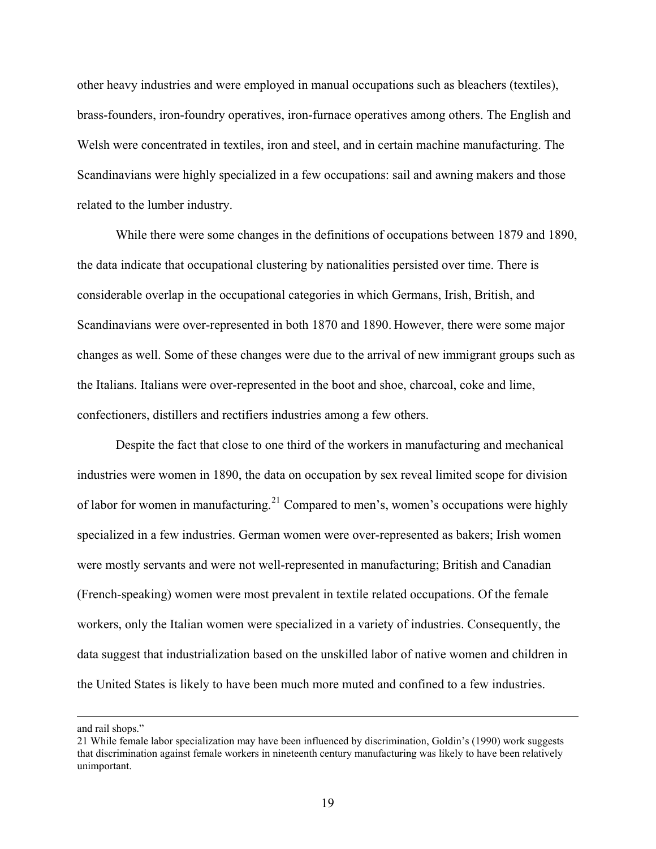<span id="page-18-0"></span>other heavy industries and were employed in manual occupations such as bleachers (textiles), brass-founders, iron-foundry operatives, iron-furnace operatives among others. The English and Welsh were concentrated in textiles, iron and steel, and in certain machine manufacturing. The Scandinavians were highly specialized in a few occupations: sail and awning makers and those related to the lumber industry.

 While there were some changes in the definitions of occupations between 1879 and 1890, the data indicate that occupational clustering by nationalities persisted over time. There is considerable overlap in the occupational categories in which Germans, Irish, British, and Scandinavians were over-represented in both 1870 and 1890. However, there were some major changes as well. Some of these changes were due to the arrival of new immigrant groups such as the Italians. Italians were over-represented in the boot and shoe, charcoal, coke and lime, confectioners, distillers and rectifiers industries among a few others.

 Despite the fact that close to one third of the workers in manufacturing and mechanical industries were women in 1890, the data on occupation by sex reveal limited scope for division of labor for women in manufacturing.<sup>[21](#page-18-0)</sup> Compared to men's, women's occupations were highly specialized in a few industries. German women were over-represented as bakers; Irish women were mostly servants and were not well-represented in manufacturing; British and Canadian (French-speaking) women were most prevalent in textile related occupations. Of the female workers, only the Italian women were specialized in a variety of industries. Consequently, the data suggest that industrialization based on the unskilled labor of native women and children in the United States is likely to have been much more muted and confined to a few industries.

and rail shops."

<sup>21</sup> While female labor specialization may have been influenced by discrimination, Goldin's (1990) work suggests that discrimination against female workers in nineteenth century manufacturing was likely to have been relatively unimportant.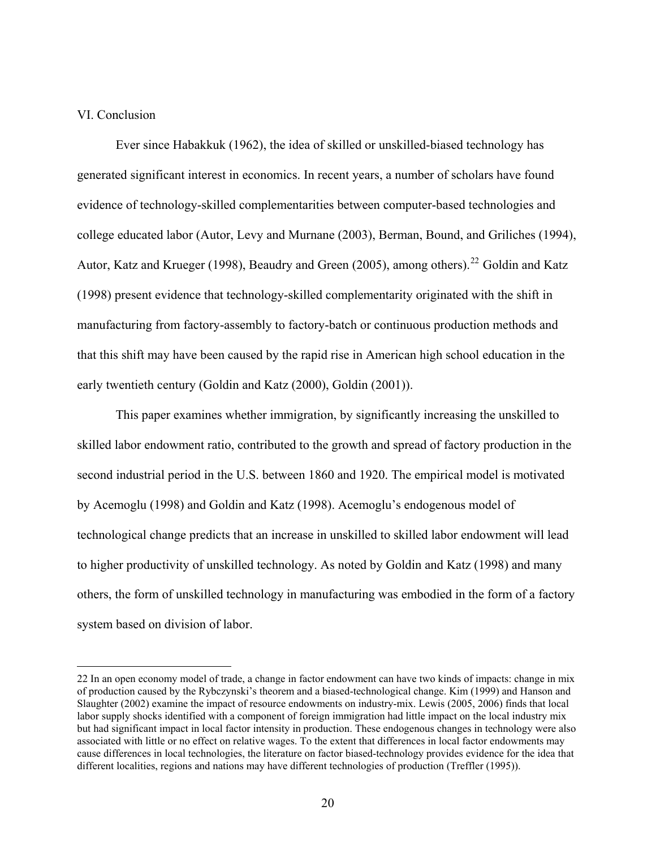# <span id="page-19-0"></span>VI. Conclusion

 $\overline{a}$ 

 Ever since Habakkuk (1962), the idea of skilled or unskilled-biased technology has generated significant interest in economics. In recent years, a number of scholars have found evidence of technology-skilled complementarities between computer-based technologies and college educated labor (Autor, Levy and Murnane (2003), Berman, Bound, and Griliches (1994), Autor, Katz and Krueger (1998), Beaudry and Green (2005), among others).<sup>[22](#page-19-0)</sup> Goldin and Katz (1998) present evidence that technology-skilled complementarity originated with the shift in manufacturing from factory-assembly to factory-batch or continuous production methods and that this shift may have been caused by the rapid rise in American high school education in the early twentieth century (Goldin and Katz (2000), Goldin (2001)).

 This paper examines whether immigration, by significantly increasing the unskilled to skilled labor endowment ratio, contributed to the growth and spread of factory production in the second industrial period in the U.S. between 1860 and 1920. The empirical model is motivated by Acemoglu (1998) and Goldin and Katz (1998). Acemoglu's endogenous model of technological change predicts that an increase in unskilled to skilled labor endowment will lead to higher productivity of unskilled technology. As noted by Goldin and Katz (1998) and many others, the form of unskilled technology in manufacturing was embodied in the form of a factory system based on division of labor.

<sup>22</sup> In an open economy model of trade, a change in factor endowment can have two kinds of impacts: change in mix of production caused by the Rybczynski's theorem and a biased-technological change. Kim (1999) and Hanson and Slaughter (2002) examine the impact of resource endowments on industry-mix. Lewis (2005, 2006) finds that local labor supply shocks identified with a component of foreign immigration had little impact on the local industry mix but had significant impact in local factor intensity in production. These endogenous changes in technology were also associated with little or no effect on relative wages. To the extent that differences in local factor endowments may cause differences in local technologies, the literature on factor biased-technology provides evidence for the idea that different localities, regions and nations may have different technologies of production (Treffler (1995)).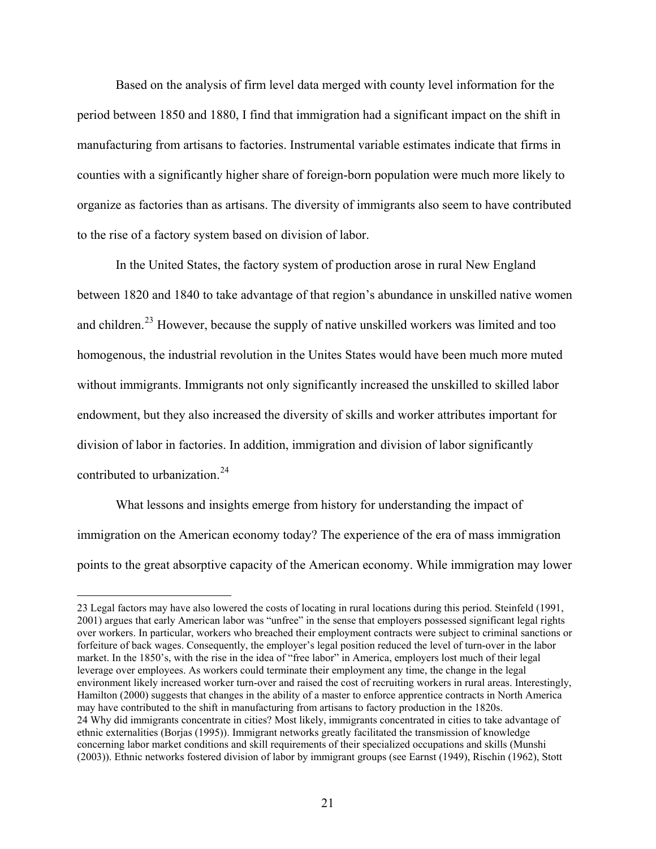<span id="page-20-0"></span> Based on the analysis of firm level data merged with county level information for the period between 1850 and 1880, I find that immigration had a significant impact on the shift in manufacturing from artisans to factories. Instrumental variable estimates indicate that firms in counties with a significantly higher share of foreign-born population were much more likely to organize as factories than as artisans. The diversity of immigrants also seem to have contributed to the rise of a factory system based on division of labor.

 In the United States, the factory system of production arose in rural New England between 1820 and 1840 to take advantage of that region's abundance in unskilled native women and children.<sup>[23](#page-20-0)</sup> However, because the supply of native unskilled workers was limited and too homogenous, the industrial revolution in the Unites States would have been much more muted without immigrants. Immigrants not only significantly increased the unskilled to skilled labor endowment, but they also increased the diversity of skills and worker attributes important for division of labor in factories. In addition, immigration and division of labor significantly contributed to urbanization.<sup>[24](#page-20-0)</sup>

 What lessons and insights emerge from history for understanding the impact of immigration on the American economy today? The experience of the era of mass immigration points to the great absorptive capacity of the American economy. While immigration may lower

<sup>23</sup> Legal factors may have also lowered the costs of locating in rural locations during this period. Steinfeld (1991, 2001) argues that early American labor was "unfree" in the sense that employers possessed significant legal rights over workers. In particular, workers who breached their employment contracts were subject to criminal sanctions or forfeiture of back wages. Consequently, the employer's legal position reduced the level of turn-over in the labor market. In the 1850's, with the rise in the idea of "free labor" in America, employers lost much of their legal leverage over employees. As workers could terminate their employment any time, the change in the legal environment likely increased worker turn-over and raised the cost of recruiting workers in rural areas. Interestingly, Hamilton (2000) suggests that changes in the ability of a master to enforce apprentice contracts in North America may have contributed to the shift in manufacturing from artisans to factory production in the 1820s. 24 Why did immigrants concentrate in cities? Most likely, immigrants concentrated in cities to take advantage of ethnic externalities (Borjas (1995)). Immigrant networks greatly facilitated the transmission of knowledge concerning labor market conditions and skill requirements of their specialized occupations and skills (Munshi (2003)). Ethnic networks fostered division of labor by immigrant groups (see Earnst (1949), Rischin (1962), Stott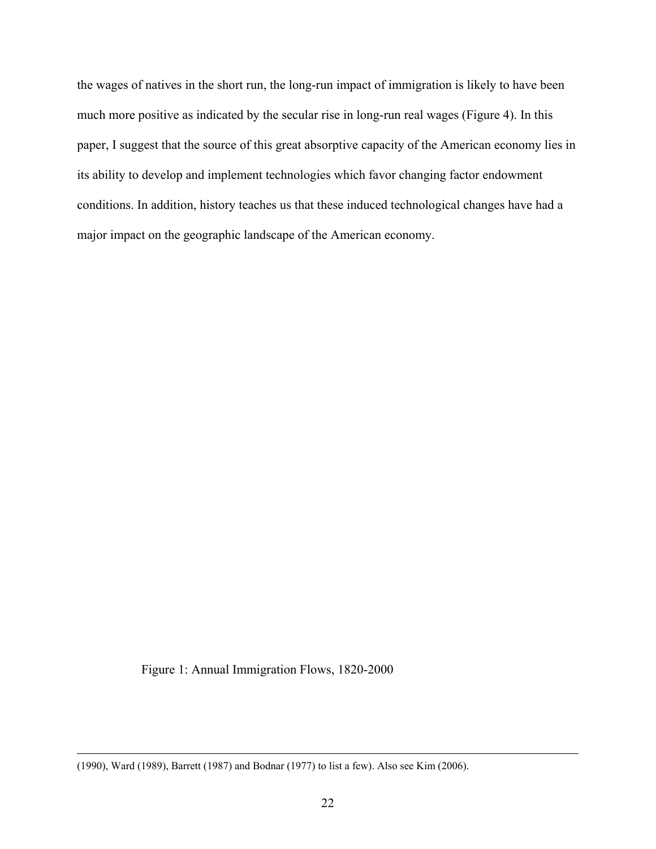the wages of natives in the short run, the long-run impact of immigration is likely to have been much more positive as indicated by the secular rise in long-run real wages (Figure 4). In this paper, I suggest that the source of this great absorptive capacity of the American economy lies in its ability to develop and implement technologies which favor changing factor endowment conditions. In addition, history teaches us that these induced technological changes have had a major impact on the geographic landscape of the American economy.

Figure 1: Annual Immigration Flows, 1820-2000

 <sup>(1990),</sup> Ward (1989), Barrett (1987) and Bodnar (1977) to list a few). Also see Kim (2006).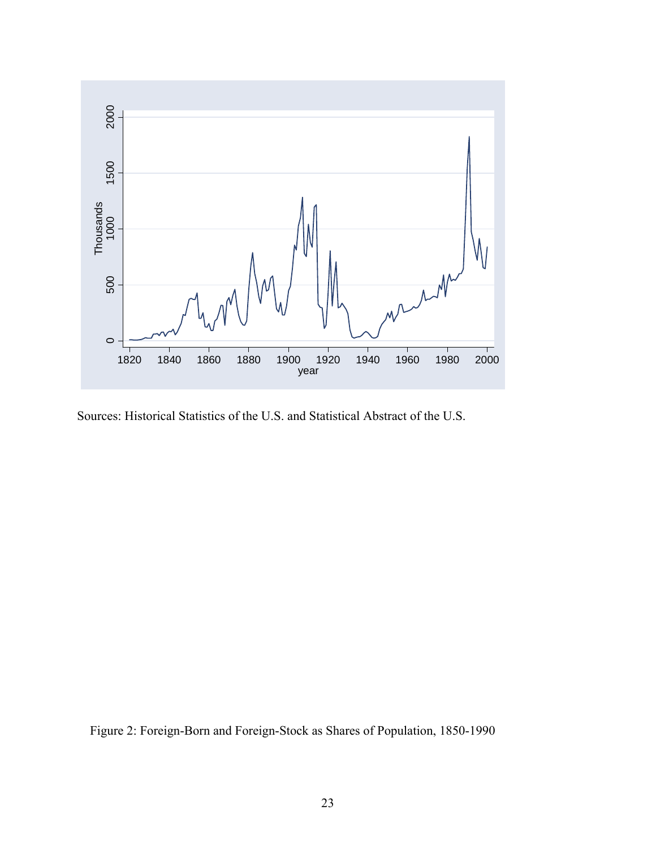

Sources: Historical Statistics of the U.S. and Statistical Abstract of the U.S.

Figure 2: Foreign-Born and Foreign-Stock as Shares of Population, 1850-1990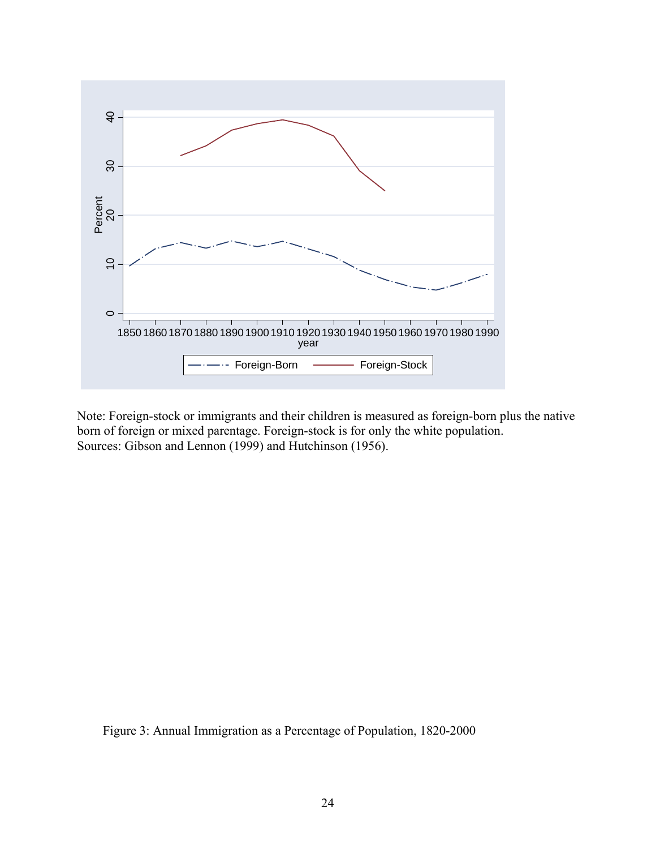

Note: Foreign-stock or immigrants and their children is measured as foreign-born plus the native born of foreign or mixed parentage. Foreign-stock is for only the white population. Sources: Gibson and Lennon (1999) and Hutchinson (1956).

Figure 3: Annual Immigration as a Percentage of Population, 1820-2000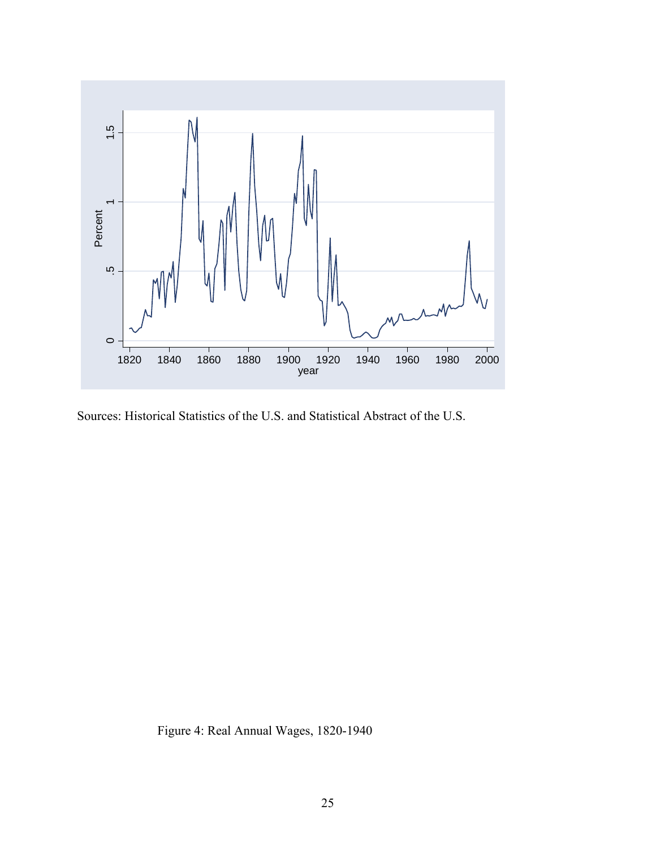

Sources: Historical Statistics of the U.S. and Statistical Abstract of the U.S.

Figure 4: Real Annual Wages, 1820-1940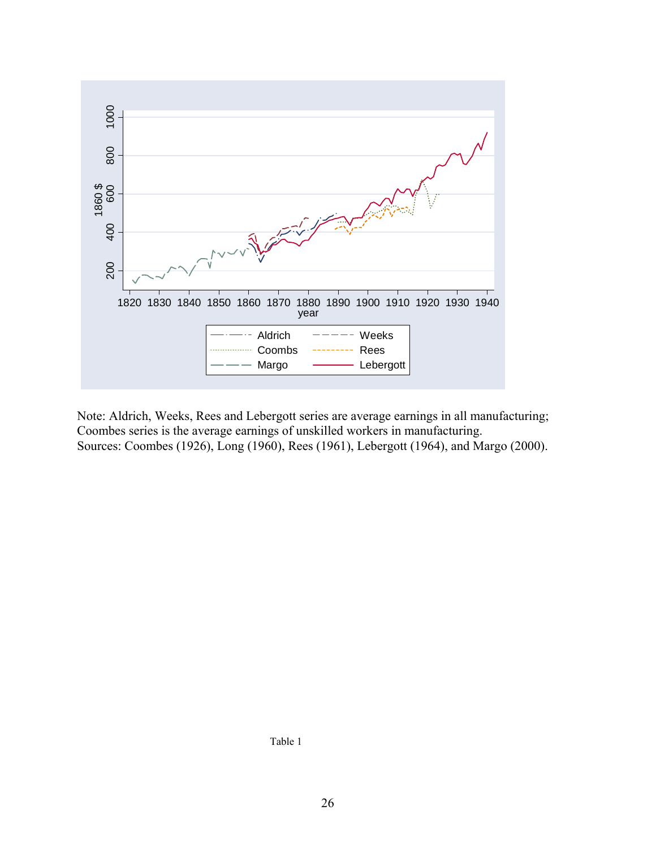

Note: Aldrich, Weeks, Rees and Lebergott series are average earnings in all manufacturing; Coombes series is the average earnings of unskilled workers in manufacturing. Sources: Coombes (1926), Long (1960), Rees (1961), Lebergott (1964), and Margo (2000).

Table 1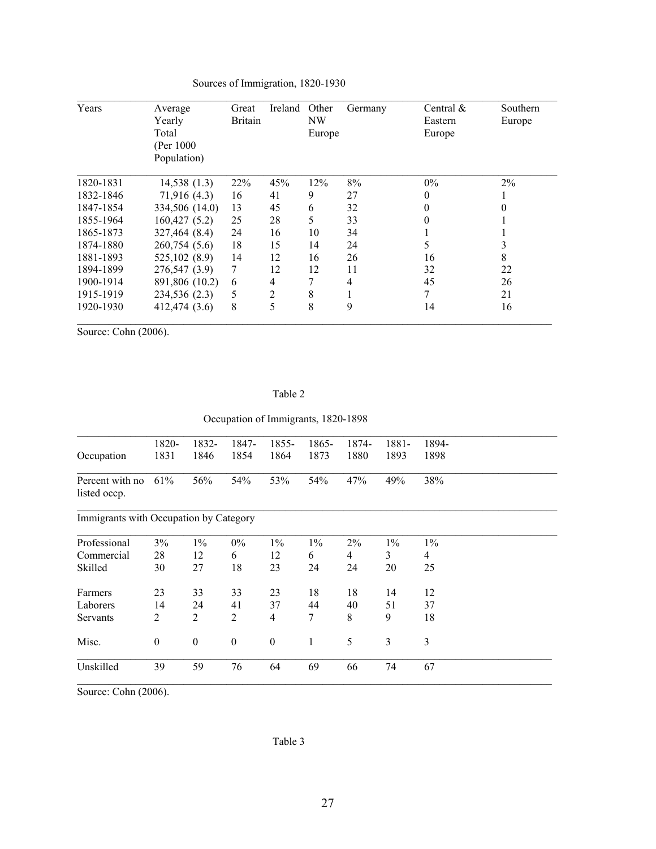| Years     | Average        | Great          | Ireland | Other  | Germany | Central $\&$     | Southern |
|-----------|----------------|----------------|---------|--------|---------|------------------|----------|
|           | Yearly         | <b>Britain</b> |         | NW     |         | Eastern          | Europe   |
|           | Total          |                |         | Europe |         | Europe           |          |
|           | (Per 1000)     |                |         |        |         |                  |          |
|           | Population)    |                |         |        |         |                  |          |
| 1820-1831 | 14,538(1.3)    | 22%            | 45%     | 12%    | 8%      | $0\%$            | 2%       |
| 1832-1846 | 71,916 (4.3)   | 16             | 41      | 9      | 27      | $\boldsymbol{0}$ |          |
| 1847-1854 | 334,506 (14.0) | 13             | 45      | 6      | 32      | 0                |          |
| 1855-1964 | 160,427(5.2)   | 25             | 28      | 5      | 33      | 0                |          |
| 1865-1873 | 327,464 (8.4)  | 24             | 16      | 10     | 34      |                  |          |
| 1874-1880 | 260,754 (5.6)  | 18             | 15      | 14     | 24      | 5                |          |
| 1881-1893 | 525,102 (8.9)  | 14             | 12      | 16     | 26      | 16               | 8        |
| 1894-1899 | 276,547 (3.9)  | 7              | 12      | 12     | 11      | 32               | 22       |
| 1900-1914 | 891,806 (10.2) | 6              | 4       | 7      | 4       | 45               | 26       |
| 1915-1919 | 234,536 (2.3)  | 5              | 2       | 8      |         | 7                | 21       |
| 1920-1930 | 412,474 (3.6)  | 8              | 5       | 8      | 9       | 14               | 16       |

# Sources of Immigration, 1820-1930

Source: Cohn (2006).

### Table 2

Occupation of Immigrants, 1820-1898

|                                        | 1820-            | 1832-            | 1847-            | 1855-            | 1865- | 1874- | 1881- | 1894- |
|----------------------------------------|------------------|------------------|------------------|------------------|-------|-------|-------|-------|
| Occupation                             | 1831             | 1846             | 1854             | 1864             | 1873  | 1880  | 1893  | 1898  |
| Percent with no<br>listed occp.        | 61%              | 56%              | 54%              | 53%              | 54%   | 47%   | 49%   | 38%   |
| Immigrants with Occupation by Category |                  |                  |                  |                  |       |       |       |       |
| Professional                           | 3%               | $1\%$            | $0\%$            | $1\%$            | $1\%$ | $2\%$ | $1\%$ | $1\%$ |
| Commercial                             | 28               | 12               | 6                | 12               | 6     | 4     | 3     | 4     |
| Skilled                                | 30               | 27               | 18               | 23               | 24    | 24    | 20    | 25    |
| Farmers                                | 23               | 33               | 33               | 23               | 18    | 18    | 14    | 12    |
| Laborers                               | 14               | 24               | 41               | 37               | 44    | 40    | 51    | 37    |
| Servants                               | 2                | $\overline{2}$   | 2                | $\overline{4}$   | 7     | 8     | 9     | 18    |
| Misc.                                  | $\boldsymbol{0}$ | $\boldsymbol{0}$ | $\boldsymbol{0}$ | $\boldsymbol{0}$ | 1     | 5     | 3     | 3     |
| Unskilled                              | 39               | 59               | 76               | 64               | 69    | 66    | 74    | 67    |
|                                        |                  |                  |                  |                  |       |       |       |       |

Source: Cohn (2006).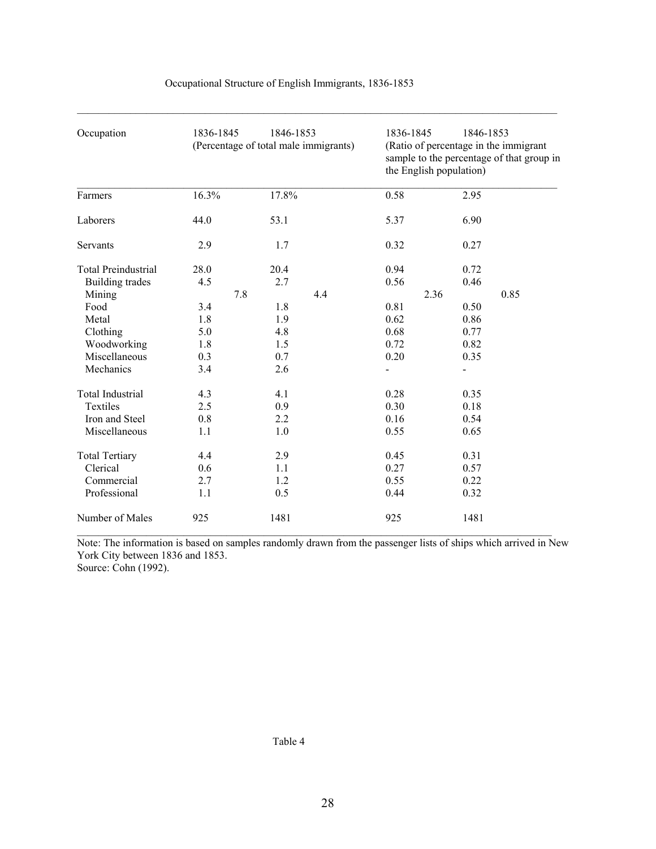| Occupation                 | 1836-1845 | 1846-1853<br>(Percentage of total male immigrants) |     | 1836-1845<br>1846-1853<br>(Ratio of percentage in the immigrant<br>sample to the percentage of that group in<br>the English population) |              |  |  |  |
|----------------------------|-----------|----------------------------------------------------|-----|-----------------------------------------------------------------------------------------------------------------------------------------|--------------|--|--|--|
| Farmers                    | 16.3%     | 17.8%                                              |     | 0.58                                                                                                                                    | 2.95         |  |  |  |
| Laborers                   | 44.0      | 53.1                                               |     | 5.37                                                                                                                                    | 6.90         |  |  |  |
| Servants                   | 2.9       | 1.7                                                |     | 0.32                                                                                                                                    | 0.27         |  |  |  |
| <b>Total Preindustrial</b> | 28.0      | 20.4                                               |     | 0.94                                                                                                                                    | 0.72         |  |  |  |
| <b>Building trades</b>     | 4.5       | 2.7                                                |     | 0.56                                                                                                                                    | 0.46         |  |  |  |
| Mining                     | 7.8       |                                                    | 4.4 |                                                                                                                                         | 0.85<br>2.36 |  |  |  |
| Food                       | 3.4       | 1.8                                                |     | 0.81                                                                                                                                    | 0.50         |  |  |  |
| Metal                      | 1.8       | 1.9                                                |     | 0.62                                                                                                                                    | 0.86         |  |  |  |
| Clothing                   | 5.0       | 4.8                                                |     | 0.68                                                                                                                                    | 0.77         |  |  |  |
| Woodworking                | 1.8       | 1.5                                                |     | 0.72                                                                                                                                    | 0.82         |  |  |  |
| Miscellaneous              | 0.3       | 0.7                                                |     | 0.20                                                                                                                                    | 0.35         |  |  |  |
| Mechanics                  | 3.4       | 2.6                                                |     |                                                                                                                                         |              |  |  |  |
| Total Industrial           | 4.3       | 4.1                                                |     | 0.28                                                                                                                                    | 0.35         |  |  |  |
| Textiles                   | 2.5       | 0.9                                                |     | 0.30                                                                                                                                    | 0.18         |  |  |  |
| Iron and Steel             | 0.8       | 2.2                                                |     | 0.16                                                                                                                                    | 0.54         |  |  |  |
| Miscellaneous              | 1.1       | 1.0                                                |     | 0.55                                                                                                                                    | 0.65         |  |  |  |
| <b>Total Tertiary</b>      | 4.4       | 2.9                                                |     | 0.45                                                                                                                                    | 0.31         |  |  |  |
| Clerical                   | 0.6       | 1.1                                                |     | 0.27                                                                                                                                    | 0.57         |  |  |  |
| Commercial                 | 2.7       | 1.2                                                |     | 0.55                                                                                                                                    | 0.22         |  |  |  |
| Professional               | 1.1       | 0.5                                                |     | 0.44                                                                                                                                    | 0.32         |  |  |  |
| Number of Males            | 925       | 1481                                               |     | 925                                                                                                                                     | 1481         |  |  |  |

# Occupational Structure of English Immigrants, 1836-1853

 $\mathcal{L}_\text{max}$ 

Note: The information is based on samples randomly drawn from the passenger lists of ships which arrived in New York City between 1836 and 1853. Source: Cohn (1992).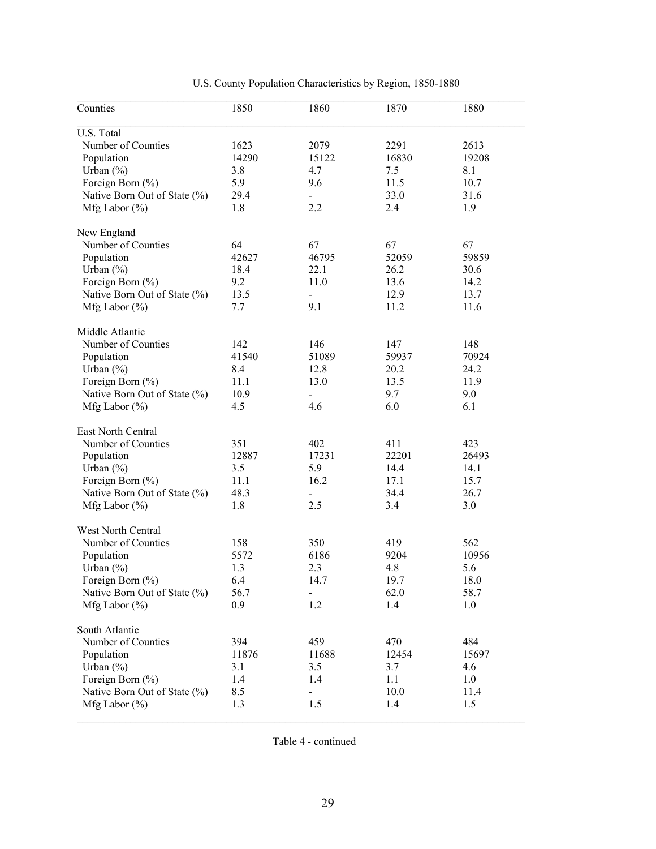| Counties                     | 1850  | 1860                     | 1870  | 1880  |
|------------------------------|-------|--------------------------|-------|-------|
| U.S. Total                   |       |                          |       |       |
| Number of Counties           | 1623  | 2079                     | 2291  | 2613  |
| Population                   | 14290 | 15122                    | 16830 | 19208 |
| Urban $(\% )$                | 3.8   | 4.7                      | 7.5   | 8.1   |
| Foreign Born (%)             | 5.9   | 9.6                      | 11.5  | 10.7  |
| Native Born Out of State (%) | 29.4  |                          | 33.0  | 31.6  |
| Mfg Labor $(\% )$            | 1.8   | 2.2                      | 2.4   | 1.9   |
| New England                  |       |                          |       |       |
| Number of Counties           | 64    | 67                       | 67    | 67    |
| Population                   | 42627 | 46795                    | 52059 | 59859 |
| Urban $(\% )$                | 18.4  | 22.1                     | 26.2  | 30.6  |
| Foreign Born (%)             | 9.2   | 11.0                     | 13.6  | 14.2  |
| Native Born Out of State (%) | 13.5  | $\blacksquare$           | 12.9  | 13.7  |
| Mfg Labor $(\% )$            | 7.7   | 9.1                      | 11.2  | 11.6  |
| Middle Atlantic              |       |                          |       |       |
| Number of Counties           | 142   | 146                      | 147   | 148   |
| Population                   | 41540 | 51089                    | 59937 | 70924 |
| Urban $(\% )$                | 8.4   | 12.8                     | 20.2  | 24.2  |
| Foreign Born (%)             | 11.1  | 13.0                     | 13.5  | 11.9  |
| Native Born Out of State (%) | 10.9  | $\blacksquare$           | 9.7   | 9.0   |
| Mfg Labor $(\%)$             | 4.5   | 4.6                      | 6.0   | 6.1   |
|                              |       |                          |       |       |
| East North Central           |       |                          |       |       |
| Number of Counties           | 351   | 402                      | 411   | 423   |
| Population                   | 12887 | 17231                    | 22201 | 26493 |
| Urban $(\% )$                | 3.5   | 5.9                      | 14.4  | 14.1  |
| Foreign Born (%)             | 11.1  | 16.2                     | 17.1  | 15.7  |
| Native Born Out of State (%) | 48.3  | $\overline{\phantom{0}}$ | 34.4  | 26.7  |
| Mfg Labor $(\%)$             | 1.8   | 2.5                      | 3.4   | 3.0   |
| <b>West North Central</b>    |       |                          |       |       |
| Number of Counties           | 158   | 350                      | 419   | 562   |
| Population                   | 5572  | 6186                     | 9204  | 10956 |
| Urban $(\%)$                 | 1.3   | 2.3                      | 4.8   | 5.6   |
| Foreign Born (%)             | 6.4   | 14.7                     | 19.7  | 18.0  |
| Native Born Out of State (%) | 56.7  |                          | 62.0  | 58.7  |
| Mfg Labor $(\% )$            | 0.9   | 1.2                      | 1.4   | 1.0   |
| South Atlantic               |       |                          |       |       |
| Number of Counties           | 394   | 459                      | 470   | 484   |
| Population                   | 11876 | 11688                    | 12454 | 15697 |
| Urban $(\% )$                | 3.1   | 3.5                      | 3.7   | 4.6   |
| Foreign Born (%)             | 1.4   | 1.4                      | 1.1   | 1.0   |
| Native Born Out of State (%) | 8.5   |                          | 10.0  | 11.4  |
| Mfg Labor $(\% )$            | 1.3   | 1.5                      | 1.4   | 1.5   |
|                              |       |                          |       |       |

# U.S. County Population Characteristics by Region, 1850-1880

Table 4 - continued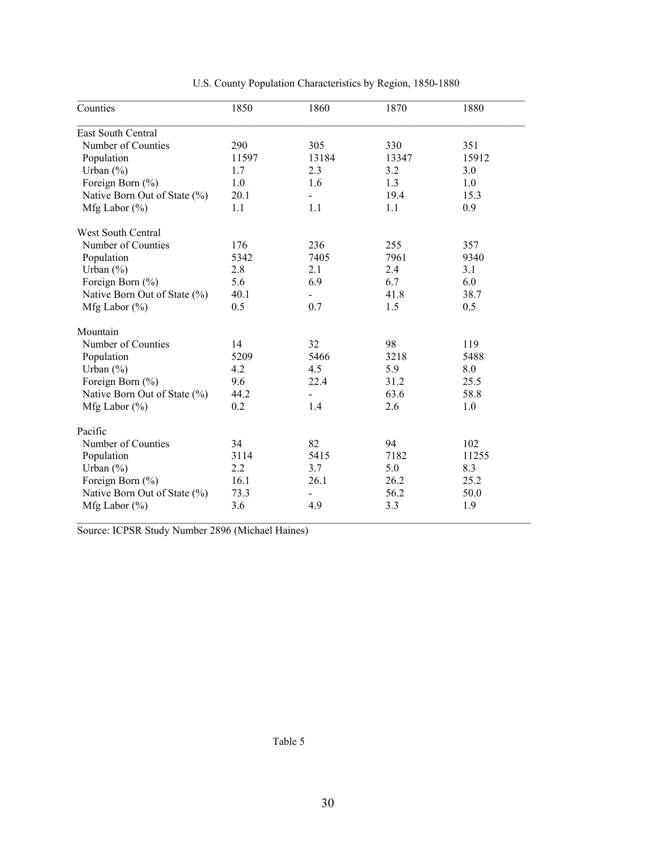| East South Central<br>Number of Counties<br>290<br>305<br>330<br>351<br>13184<br>Population<br>11597<br>13347<br>15912<br>Urban $(\% )$<br>1.7<br>2.3<br>3.2<br>3.0 |  |
|---------------------------------------------------------------------------------------------------------------------------------------------------------------------|--|
|                                                                                                                                                                     |  |
|                                                                                                                                                                     |  |
|                                                                                                                                                                     |  |
|                                                                                                                                                                     |  |
| Foreign Born (%)<br>1.0<br>1.6<br>1.3<br>1.0                                                                                                                        |  |
| Native Born Out of State (%)<br>20.1<br>19.4<br>15.3                                                                                                                |  |
| 1.1<br>0.9<br>1.1<br>1.1<br>Mfg Labor $(\% )$                                                                                                                       |  |
| West South Central                                                                                                                                                  |  |
| Number of Counties<br>176<br>236<br>255<br>357                                                                                                                      |  |
| 5342<br>7405<br>Population<br>7961<br>9340                                                                                                                          |  |
| 2.8<br>Urban $(\% )$<br>2.1<br>2.4<br>3.1                                                                                                                           |  |
| 5.6<br>6.9<br>6.0<br>Foreign Born (%)<br>6.7                                                                                                                        |  |
| 40.1<br>Native Born Out of State (%)<br>41.8<br>38.7                                                                                                                |  |
| 0.5<br>0.7<br>1.5<br>0.5<br>Mfg Labor $(\% )$                                                                                                                       |  |
| Mountain                                                                                                                                                            |  |
| 32<br>98<br>119<br>Number of Counties<br>14                                                                                                                         |  |
| 5209<br>5466<br>Population<br>3218<br>5488                                                                                                                          |  |
| 4.5<br>8.0<br>Urban $(\% )$<br>4.2<br>5.9                                                                                                                           |  |
| 9.6<br>22.4<br>Foreign Born (%)<br>31.2<br>25.5                                                                                                                     |  |
| 44.2<br>63.6<br>58.8<br>Native Born Out of State (%)                                                                                                                |  |
| Mfg Labor $(\% )$<br>0.2<br>2.6<br>1.0<br>1.4                                                                                                                       |  |
| Pacific                                                                                                                                                             |  |
| 82<br>Number of Counties<br>34<br>94<br>102                                                                                                                         |  |
| Population<br>3114<br>5415<br>7182<br>11255                                                                                                                         |  |
| 2.2<br>8.3<br>Urban $(\% )$<br>3.7<br>5.0                                                                                                                           |  |
| Foreign Born (%)<br>16.1<br>26.1<br>26.2<br>25.2                                                                                                                    |  |
| Native Born Out of State (%)<br>73.3<br>56.2<br>50.0                                                                                                                |  |
| Mfg Labor $(\% )$<br>3.6<br>4.9<br>3.3<br>1.9                                                                                                                       |  |

U.S. County Population Characteristics by Region, 1850-1880

Source: ICPSR Study Number 2896 (Michael Haines)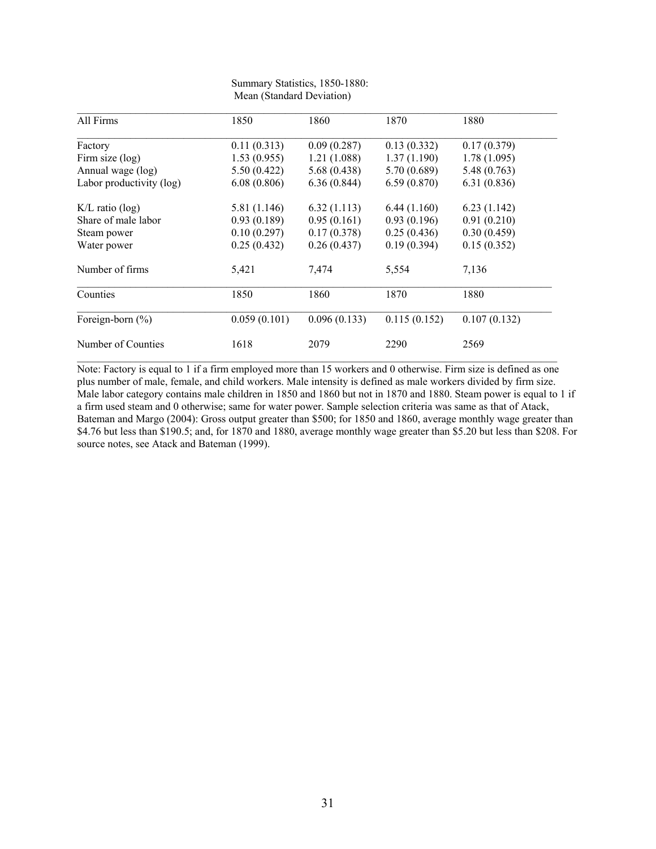| All Firms                | 1850         | 1860         | 1870         | 1880         |
|--------------------------|--------------|--------------|--------------|--------------|
| Factory                  | 0.11(0.313)  | 0.09(0.287)  | 0.13(0.332)  | 0.17(0.379)  |
| Firm size (log)          | 1.53(0.955)  | 1.21(1.088)  | 1.37(1.190)  | 1.78(1.095)  |
| Annual wage (log)        | 5.50(0.422)  | 5.68(0.438)  | 5.70(0.689)  | 5.48(0.763)  |
| Labor productivity (log) | 6.08(0.806)  | 6.36(0.844)  | 6.59(0.870)  | 6.31(0.836)  |
| $K/L$ ratio (log)        | 5.81 (1.146) | 6.32(1.113)  | 6.44(1.160)  | 6.23(1.142)  |
| Share of male labor      | 0.93(0.189)  | 0.95(0.161)  | 0.93(0.196)  | 0.91(0.210)  |
| Steam power              | 0.10(0.297)  | 0.17(0.378)  | 0.25(0.436)  | 0.30(0.459)  |
| Water power              | 0.25(0.432)  | 0.26(0.437)  | 0.19(0.394)  | 0.15(0.352)  |
| Number of firms          | 5,421        | 7,474        | 5,554        | 7,136        |
| Counties                 | 1850         | 1860         | 1870         | 1880         |
| Foreign-born $(\% )$     | 0.059(0.101) | 0.096(0.133) | 0.115(0.152) | 0.107(0.132) |
| Number of Counties       | 1618         | 2079         | 2290         | 2569         |

| Summary Statistics, 1850-1880: |
|--------------------------------|
| Mean (Standard Deviation)      |

Note: Factory is equal to 1 if a firm employed more than 15 workers and 0 otherwise. Firm size is defined as one plus number of male, female, and child workers. Male intensity is defined as male workers divided by firm size. Male labor category contains male children in 1850 and 1860 but not in 1870 and 1880. Steam power is equal to 1 if a firm used steam and 0 otherwise; same for water power. Sample selection criteria was same as that of Atack, Bateman and Margo (2004): Gross output greater than \$500; for 1850 and 1860, average monthly wage greater than \$4.76 but less than \$190.5; and, for 1870 and 1880, average monthly wage greater than \$5.20 but less than \$208. For source notes, see Atack and Bateman (1999).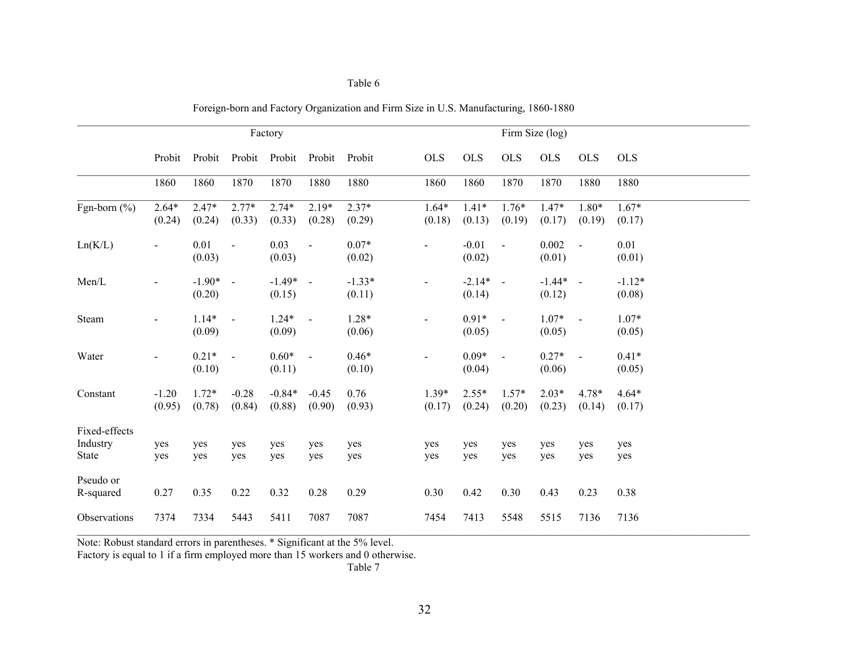|                                           | Factory           |                    |                   |                      |                   |                    |                   |                    | Firm Size (log)   |                      |                 |                    |
|-------------------------------------------|-------------------|--------------------|-------------------|----------------------|-------------------|--------------------|-------------------|--------------------|-------------------|----------------------|-----------------|--------------------|
|                                           | Probit            | Probit             | Probit            | Probit               | Probit            | Probit             | <b>OLS</b>        | <b>OLS</b>         | <b>OLS</b>        | <b>OLS</b>           | <b>OLS</b>      | <b>OLS</b>         |
|                                           | 1860              | 1860               | 1870              | 1870                 | 1880              | 1880               | 1860              | 1860               | 1870              | 1870                 | 1880            | 1880               |
| Fgn-born $(\% )$                          | $2.64*$<br>(0.24) | $2.47*$<br>(0.24)  | $2.77*$<br>(0.33) | $2.74*$<br>(0.33)    | $2.19*$<br>(0.28) | $2.37*$<br>(0.29)  | $1.64*$<br>(0.18) | $1.41*$<br>(0.13)  | $1.76*$<br>(0.19) | $1.47*$<br>(0.17)    | 1.80*<br>(0.19) | $1.67*$<br>(0.17)  |
| Ln(K/L)                                   |                   | 0.01<br>(0.03)     | $\Box$            | 0.03<br>(0.03)       | $\blacksquare$    | $0.07*$<br>(0.02)  |                   | $-0.01$<br>(0.02)  | $\blacksquare$    | 0.002<br>(0.01)      | $\sim$          | 0.01<br>(0.01)     |
| Men/L                                     |                   | $-1.90*$<br>(0.20) | $\sim$            | $-1.49* -$<br>(0.15) |                   | $-1.33*$<br>(0.11) | $\blacksquare$    | $-2.14*$<br>(0.14) | $\sim$            | $-1.44* -$<br>(0.12) |                 | $-1.12*$<br>(0.08) |
| Steam                                     |                   | $1.14*$<br>(0.09)  | $\sim$            | $1.24*$<br>(0.09)    | $\sim$            | $1.28*$<br>(0.06)  |                   | $0.91*$<br>(0.05)  | $\bar{a}$         | $1.07*$<br>(0.05)    | $\sim$          | $1.07*$<br>(0.05)  |
| Water                                     |                   | $0.21*$<br>(0.10)  | $\bar{a}$         | $0.60*$<br>(0.11)    | $\sim$            | $0.46*$<br>(0.10)  | $\overline{a}$    | $0.09*$<br>(0.04)  | $\mathbf{r}$      | $0.27*$<br>(0.06)    | $\sim$          | $0.41*$<br>(0.05)  |
| Constant                                  | $-1.20$<br>(0.95) | $1.72*$<br>(0.78)  | $-0.28$<br>(0.84) | $-0.84*$<br>(0.88)   | $-0.45$<br>(0.90) | 0.76<br>(0.93)     | $1.39*$<br>(0.17) | $2.55*$<br>(0.24)  | $1.57*$<br>(0.20) | $2.03*$<br>(0.23)    | 4.78*<br>(0.14) | $4.64*$<br>(0.17)  |
| Fixed-effects<br>Industry<br><b>State</b> | yes<br>yes        | yes<br>yes         | yes<br>yes        | yes<br>yes           | yes<br>yes        | yes<br>yes         | yes<br>yes        | yes<br>yes         | yes<br>yes        | yes<br>yes           | yes<br>yes      | yes<br>yes         |
| Pseudo or<br>R-squared                    | 0.27              | 0.35               | 0.22              | 0.32                 | 0.28              | 0.29               | 0.30              | 0.42               | 0.30              | 0.43                 | 0.23            | 0.38               |
| Observations                              | 7374              | 7334               | 5443              | 5411                 | 7087              | 7087               | 7454              | 7413               | 5548              | 5515                 | 7136            | 7136               |

| Foreign-born and Factory Organization and Firm Size in U.S. Manufacturing, 1860-1880 |  |  |
|--------------------------------------------------------------------------------------|--|--|
|                                                                                      |  |  |

Note: Robust standard errors in parentheses. \* Significant at the 5% level.

Table 6

Factory is equal to 1 if a firm employed more than 15 workers and 0 otherwise.

Table 7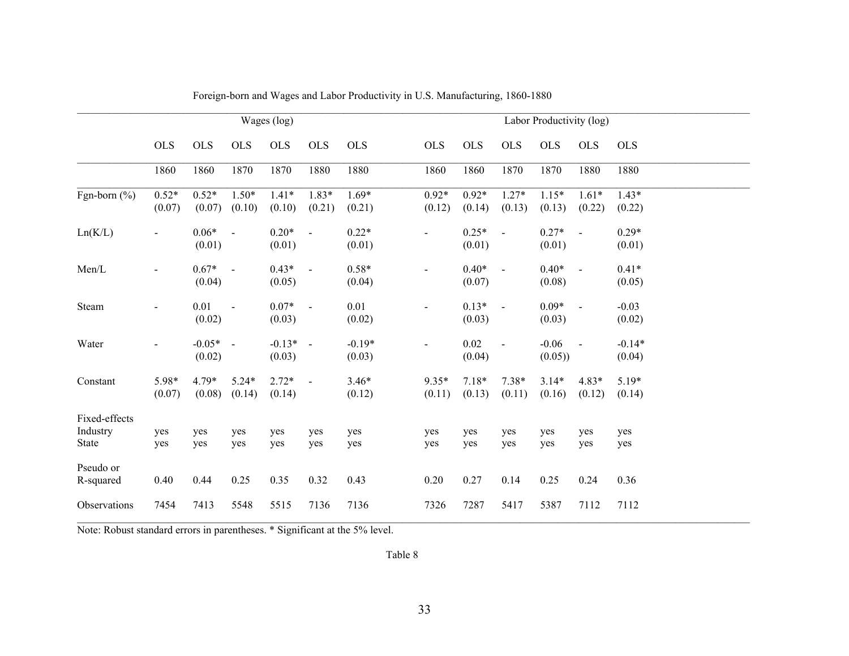|                                           | Wages (log)       |                      |                     |                      |                   |                    | Labor Productivity (log) |                   |                          |                   |                   |                    |
|-------------------------------------------|-------------------|----------------------|---------------------|----------------------|-------------------|--------------------|--------------------------|-------------------|--------------------------|-------------------|-------------------|--------------------|
|                                           | <b>OLS</b>        | <b>OLS</b>           | <b>OLS</b>          | <b>OLS</b>           | <b>OLS</b>        | <b>OLS</b>         | <b>OLS</b>               | <b>OLS</b>        | <b>OLS</b>               | <b>OLS</b>        | <b>OLS</b>        | <b>OLS</b>         |
|                                           | 1860              | 1860                 | 1870                | 1870                 | 1880              | 1880               | 1860                     | 1860              | 1870                     | 1870              | 1880              | 1880               |
| Fgn-born $(\% )$                          | $0.52*$<br>(0.07) | $0.52*$<br>(0.07)    | $1.50*$<br>(0.10)   | $1.41*$<br>(0.10)    | $1.83*$<br>(0.21) | $1.69*$<br>(0.21)  | $0.92*$<br>(0.12)        | $0.92*$<br>(0.14) | $1.27*$<br>(0.13)        | $1.15*$<br>(0.13) | $1.61*$<br>(0.22) | $1.43*$<br>(0.22)  |
| Ln(K/L)                                   | $\blacksquare$    | $0.06*$<br>(0.01)    | $\blacksquare$      | $0.20*$<br>(0.01)    | $\sim$            | $0.22*$<br>(0.01)  |                          | $0.25*$<br>(0.01) | $\blacksquare$           | $0.27*$<br>(0.01) | $\sim$            | $0.29*$<br>(0.01)  |
| Men/L                                     |                   | $0.67*$<br>(0.04)    | $\mathcal{L}$       | $0.43*$<br>(0.05)    | $\sim$            | $0.58*$<br>(0.04)  |                          | $0.40*$<br>(0.07) | $\blacksquare$           | $0.40*$<br>(0.08) | $\sim$            | $0.41*$<br>(0.05)  |
| Steam                                     |                   | 0.01<br>(0.02)       | $\bar{\phantom{a}}$ | $0.07*$<br>(0.03)    | $\sim$ $-$        | 0.01<br>(0.02)     |                          | $0.13*$<br>(0.03) | $\overline{\phantom{a}}$ | $0.09*$<br>(0.03) | $\sim$            | $-0.03$<br>(0.02)  |
| Water                                     |                   | $-0.05* -$<br>(0.02) |                     | $-0.13* -$<br>(0.03) |                   | $-0.19*$<br>(0.03) |                          | 0.02<br>(0.04)    | $\bar{\phantom{a}}$      | $-0.06$<br>(0.05) | $\sim$            | $-0.14*$<br>(0.04) |
| Constant                                  | 5.98*<br>(0.07)   | $4.79*$<br>(0.08)    | $5.24*$<br>(0.14)   | $2.72*$<br>(0.14)    | $\sim$            | $3.46*$<br>(0.12)  | $9.35*$<br>(0.11)        | $7.18*$<br>(0.13) | $7.38*$<br>(0.11)        | $3.14*$<br>(0.16) | $4.83*$<br>(0.12) | $5.19*$<br>(0.14)  |
| Fixed-effects<br>Industry<br><b>State</b> | yes<br>yes        | yes<br>yes           | yes<br>yes          | yes<br>yes           | yes<br>yes        | yes<br>yes         | yes<br>yes               | yes<br>yes        | yes<br>yes               | yes<br>yes        | yes<br>yes        | yes<br>yes         |
| Pseudo or<br>R-squared                    | 0.40              | 0.44                 | 0.25                | 0.35                 | 0.32              | 0.43               | 0.20                     | 0.27              | 0.14                     | 0.25              | 0.24              | 0.36               |
| Observations                              | 7454              | 7413                 | 5548                | 5515                 | 7136              | 7136               | 7326                     | 7287              | 5417                     | 5387              | 7112              | 7112               |

Foreign-born and Wages and Labor Productivity in U.S. Manufacturing, 1860-1880

Note: Robust standard errors in parentheses. \* Significant at the 5% level.

Table 8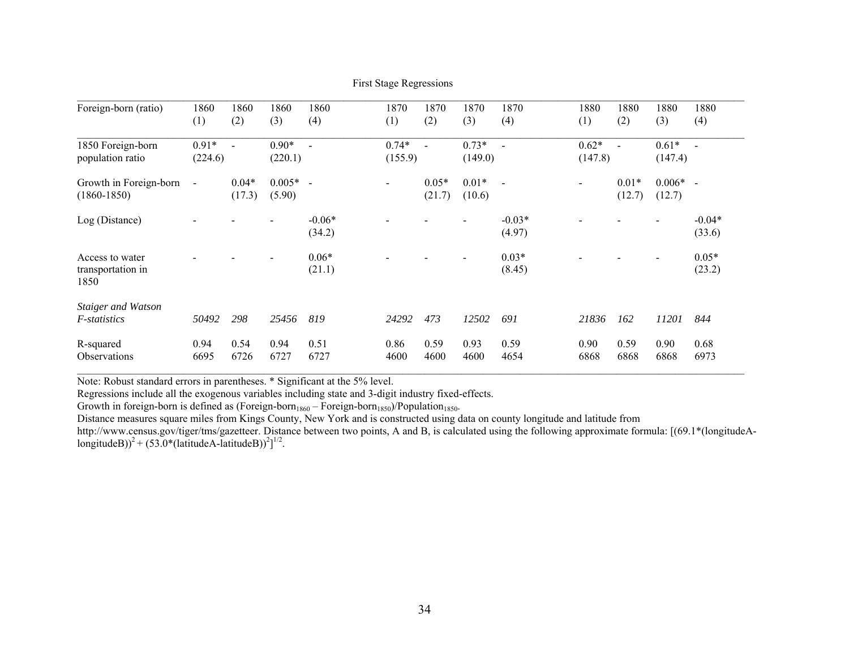| Foreign-born (ratio)                              | 1860<br>(1)              | 1860<br>(2)              | 1860<br>(3)          | 1860<br>(4)        | 1870<br>(1)        | 1870<br>(2)       | 1870<br>(3)        | 1870<br>(4)        | 1880<br>(1)                  | 1880<br>(2)       | 1880<br>(3)        | 1880<br>(4)        |
|---------------------------------------------------|--------------------------|--------------------------|----------------------|--------------------|--------------------|-------------------|--------------------|--------------------|------------------------------|-------------------|--------------------|--------------------|
| 1850 Foreign-born<br>population ratio             | $0.91*$<br>(224.6)       | $\overline{\phantom{a}}$ | $0.90*$<br>(220.1)   |                    | $0.74*$<br>(155.9) | $\blacksquare$    | $0.73*$<br>(149.0) |                    | $0.62*$<br>(147.8)           |                   | $0.61*$<br>(147.4) | $\sim$             |
| Growth in Foreign-born<br>$(1860 - 1850)$         | $\overline{\phantom{a}}$ | $0.04*$<br>(17.3)        | $0.005* -$<br>(5.90) |                    |                    | $0.05*$<br>(21.7) | $0.01*$<br>(10.6)  | $\blacksquare$     | $\qquad \qquad \blacksquare$ | $0.01*$<br>(12.7) | $0.006*$<br>(12.7) | $\sim$             |
| Log (Distance)                                    |                          |                          |                      | $-0.06*$<br>(34.2) |                    |                   |                    | $-0.03*$<br>(4.97) |                              |                   |                    | $-0.04*$<br>(33.6) |
| Access to water<br>transportation in<br>1850      |                          |                          |                      | $0.06*$<br>(21.1)  |                    |                   |                    | $0.03*$<br>(8.45)  |                              |                   |                    | $0.05*$<br>(23.2)  |
| <b>Staiger and Watson</b><br><i>F</i> -statistics | 50492                    | 298                      | 25456                | 819                | 24292              | 473               | 12502              | 691                | 21836                        | 162               | 11201              | 844                |
| R-squared<br><b>Observations</b>                  | 0.94<br>6695             | 0.54<br>6726             | 0.94<br>6727         | 0.51<br>6727       | 0.86<br>4600       | 0.59<br>4600      | 0.93<br>4600       | 0.59<br>4654       | 0.90<br>6868                 | 0.59<br>6868      | 0.90<br>6868       | 0.68<br>6973       |

First Stage Regressions

Note: Robust standard errors in parentheses. \* Significant at the 5% level.

Regressions include all the exogenous variables including state and 3-digit industry fixed-effects.

Growth in foreign-born is defined as (Foreign-born<sub>1860</sub> – Foreign-born<sub>1850</sub>)/Population<sub>1850</sub>.

Distance measures square miles from Kings County, New York and is constructed using data on county longitude and latitude from

http://www.census.gov/tiger/tms/gazetteer. Distance between two points, A and B, is calculated using the following approximate formula: [(69.1\*(longitudeAlongitudeB))<sup>2</sup> + (53.0\*(latitudeA-latitudeB))<sup>2</sup>]<sup>1/2</sup>.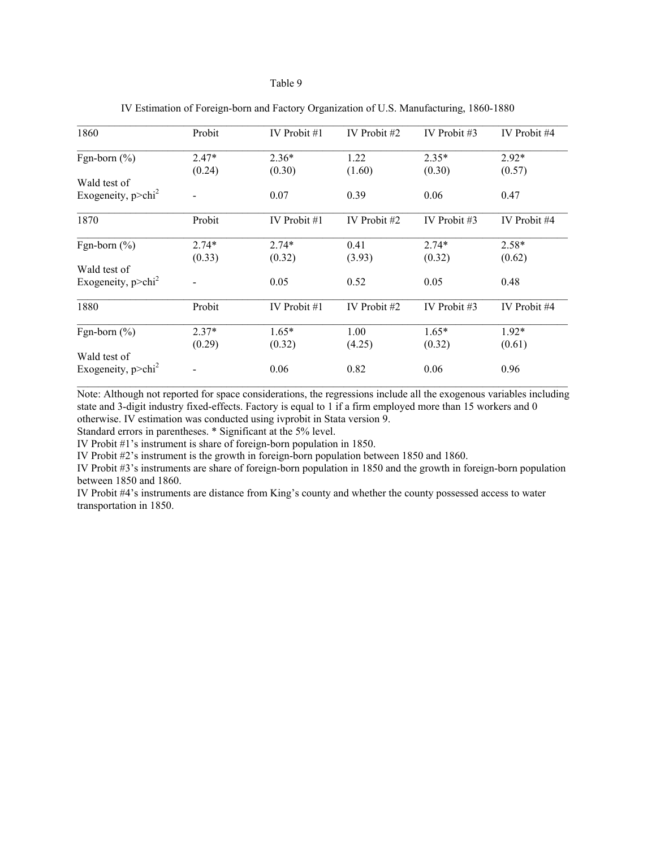### Table 9

| 1860                              | Probit  | IV Probit $#1$ | IV Probit #2 | IV Probit $#3$ | IV Probit #4 |
|-----------------------------------|---------|----------------|--------------|----------------|--------------|
| Fgn-born $(\% )$                  | $2.47*$ | $2.36*$        | 1.22         | $2.35*$        | $2.92*$      |
|                                   | (0.24)  | (0.30)         | (1.60)       | (0.30)         | (0.57)       |
| Wald test of                      |         |                |              |                |              |
| Exogeneity, $p$ >chi <sup>2</sup> |         | 0.07           | 0.39         | 0.06           | 0.47         |
| 1870                              | Probit  | IV Probit #1   | IV Probit #2 | IV Probit #3   | IV Probit #4 |
| Fgn-born $(\% )$                  | $2.74*$ | $2.74*$        | 0.41         | $2.74*$        | $2.58*$      |
|                                   | (0.33)  | (0.32)         | (3.93)       | (0.32)         | (0.62)       |
| Wald test of                      |         |                |              |                |              |
| Exogeneity, $p$ >chi <sup>2</sup> |         | 0.05           | 0.52         | 0.05           | 0.48         |
| 1880                              | Probit  | IV Probit #1   | IV Probit #2 | IV Probit $#3$ | IV Probit #4 |
| Fgn-born $(\%)$                   | $2.37*$ | $1.65*$        | 1.00         | $1.65*$        | $1.92*$      |
|                                   | (0.29)  | (0.32)         | (4.25)       | (0.32)         | (0.61)       |
| Wald test of                      |         |                |              |                |              |
| Exogeneity, $p > \text{chi}^2$    |         | 0.06           | 0.82         | 0.06           | 0.96         |

| IV Estimation of Foreign-born and Factory Organization of U.S. Manufacturing, 1860-1880 |  |  |  |
|-----------------------------------------------------------------------------------------|--|--|--|
|                                                                                         |  |  |  |

Note: Although not reported for space considerations, the regressions include all the exogenous variables including state and 3-digit industry fixed-effects. Factory is equal to 1 if a firm employed more than 15 workers and 0 otherwise. IV estimation was conducted using ivprobit in Stata version 9.

Standard errors in parentheses. \* Significant at the 5% level.

IV Probit #1's instrument is share of foreign-born population in 1850.

IV Probit #2's instrument is the growth in foreign-born population between 1850 and 1860.

IV Probit #3's instruments are share of foreign-born population in 1850 and the growth in foreign-born population between 1850 and 1860.

IV Probit #4's instruments are distance from King's county and whether the county possessed access to water transportation in 1850.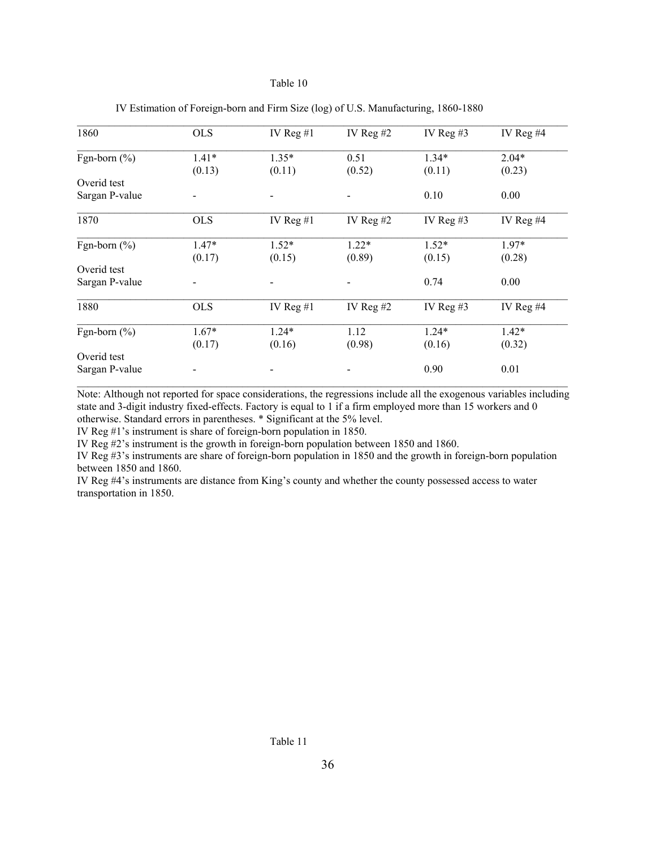### Table 10

| 1860             | <b>OLS</b> | IV Reg $#1$ | IV Reg $#2$ | IV Reg $#3$ | IV Reg $#4$ |
|------------------|------------|-------------|-------------|-------------|-------------|
| Fgn-born $(\% )$ | $1.41*$    | $1.35*$     | 0.51        | $1.34*$     | $2.04*$     |
|                  | (0.13)     | (0.11)      | (0.52)      | (0.11)      | (0.23)      |
| Overid test      |            |             |             |             |             |
| Sargan P-value   |            |             |             | 0.10        | 0.00        |
| 1870             | <b>OLS</b> | IV Reg $#1$ | IV Reg $#2$ | IV Reg $#3$ | IV Reg $#4$ |
| Fgn-born $(\% )$ | $1.47*$    | $1.52*$     | $1.22*$     | $1.52*$     | $1.97*$     |
|                  | (0.17)     | (0.15)      | (0.89)      | (0.15)      | (0.28)      |
| Overid test      |            |             |             |             |             |
| Sargan P-value   |            |             |             | 0.74        | 0.00        |
| 1880             | <b>OLS</b> | IV Reg $#1$ | IV Reg $#2$ | IV Reg $#3$ | IV Reg $#4$ |
| Fgn-born $(\% )$ | $1.67*$    | $1.24*$     | 1.12        | $1.24*$     | $1.42*$     |
|                  | (0.17)     | (0.16)      | (0.98)      | (0.16)      | (0.32)      |
| Overid test      |            |             |             |             |             |
| Sargan P-value   |            |             |             | 0.90        | 0.01        |

| IV Estimation of Foreign-born and Firm Size (log) of U.S. Manufacturing, 1860-1880 |  |  |
|------------------------------------------------------------------------------------|--|--|
|                                                                                    |  |  |

Note: Although not reported for space considerations, the regressions include all the exogenous variables including state and 3-digit industry fixed-effects. Factory is equal to 1 if a firm employed more than 15 workers and 0 otherwise. Standard errors in parentheses. \* Significant at the 5% level.

IV Reg #1's instrument is share of foreign-born population in 1850.

IV Reg #2's instrument is the growth in foreign-born population between 1850 and 1860.

IV Reg #3's instruments are share of foreign-born population in 1850 and the growth in foreign-born population between 1850 and 1860.

IV Reg #4's instruments are distance from King's county and whether the county possessed access to water transportation in 1850.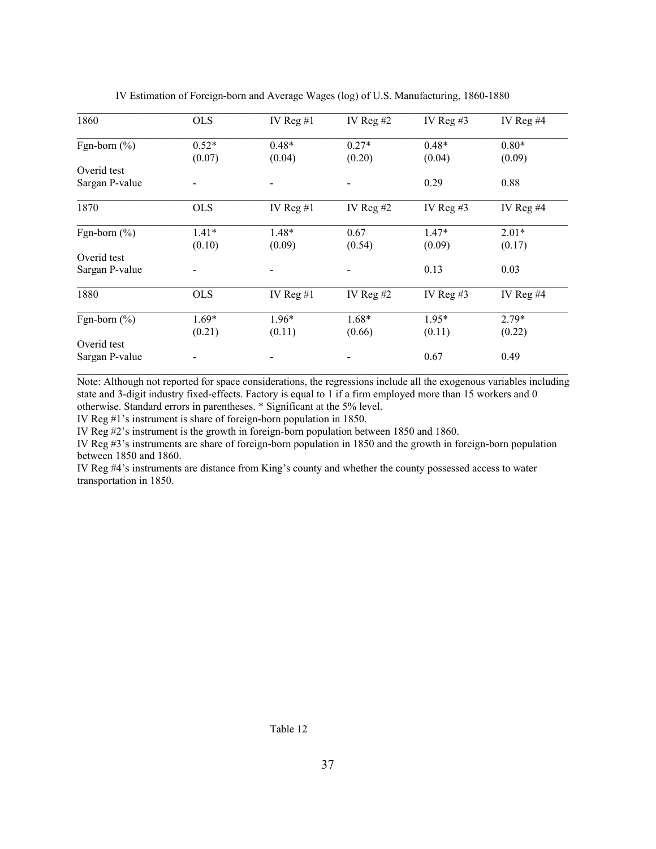| 1860             | <b>OLS</b> | IV Reg $#1$ | IV Reg $#2$ | IV Reg $#3$ | IV Reg $#4$ |
|------------------|------------|-------------|-------------|-------------|-------------|
| Fgn-born $(\% )$ | $0.52*$    | $0.48*$     | $0.27*$     | $0.48*$     | $0.80*$     |
|                  | (0.07)     | (0.04)      | (0.20)      | (0.04)      | (0.09)      |
| Overid test      |            |             |             |             |             |
| Sargan P-value   |            |             |             | 0.29        | 0.88        |
| 1870             | <b>OLS</b> | IV Reg $#1$ | IV Reg $#2$ | IV Reg $#3$ | IV Reg #4   |
| Fgn-born $(\%)$  | $1.41*$    | $1.48*$     | 0.67        | $1.47*$     | $2.01*$     |
|                  | (0.10)     | (0.09)      | (0.54)      | (0.09)      | (0.17)      |
| Overid test      |            |             |             |             |             |
| Sargan P-value   |            |             |             | 0.13        | 0.03        |
| 1880             | <b>OLS</b> | IV Reg $#1$ | IV Reg $#2$ | IV Reg $#3$ | IV Reg #4   |
| Fgn-born $(\%)$  | $1.69*$    | $1.96*$     | $1.68*$     | $1.95*$     | $2.79*$     |
|                  | (0.21)     | (0.11)      | (0.66)      | (0.11)      | (0.22)      |
| Overid test      |            |             |             |             |             |
| Sargan P-value   |            |             |             | 0.67        | 0.49        |

IV Estimation of Foreign-born and Average Wages (log) of U.S. Manufacturing, 1860-1880

Note: Although not reported for space considerations, the regressions include all the exogenous variables including state and 3-digit industry fixed-effects. Factory is equal to 1 if a firm employed more than 15 workers and 0 otherwise. Standard errors in parentheses. \* Significant at the 5% level.

IV Reg #1's instrument is share of foreign-born population in 1850.

IV Reg #2's instrument is the growth in foreign-born population between 1850 and 1860.

IV Reg #3's instruments are share of foreign-born population in 1850 and the growth in foreign-born population between 1850 and 1860.

IV Reg #4's instruments are distance from King's county and whether the county possessed access to water transportation in 1850.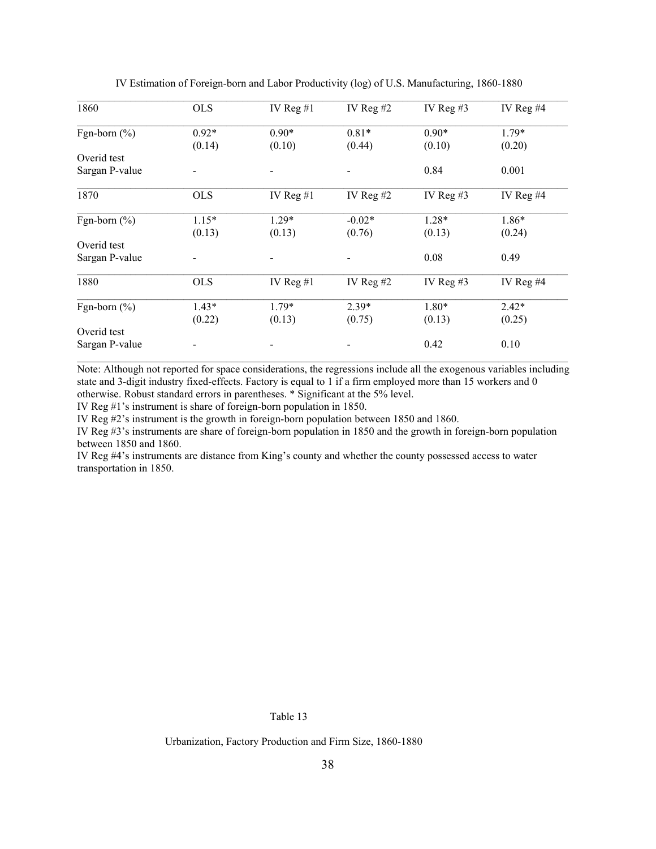| 1860             | <b>OLS</b> | IV Reg $#1$ | IV Reg $#2$ | IV Reg $#3$ | IV Reg $#4$ |
|------------------|------------|-------------|-------------|-------------|-------------|
| Fgn-born $(\% )$ | $0.92*$    | $0.90*$     | $0.81*$     | $0.90*$     | $1.79*$     |
|                  | (0.14)     | (0.10)      | (0.44)      | (0.10)      | (0.20)      |
| Overid test      |            |             |             |             |             |
| Sargan P-value   |            |             |             | 0.84        | 0.001       |
| 1870             | <b>OLS</b> | IV Reg $#1$ | IV Reg $#2$ | IV Reg $#3$ | IV Reg $#4$ |
| Fgn-born $(\% )$ | $1.15*$    | $1.29*$     | $-0.02*$    | $1.28*$     | $1.86*$     |
|                  | (0.13)     | (0.13)      | (0.76)      | (0.13)      | (0.24)      |
| Overid test      |            |             |             |             |             |
| Sargan P-value   |            |             |             | 0.08        | 0.49        |
| 1880             | <b>OLS</b> | IV Reg $#1$ | IV Reg $#2$ | IV Reg $#3$ | IV Reg $#4$ |
| Fgn-born $(\%)$  | $1.43*$    | $1.79*$     | 2.39*       | 1.80*       | $2.42*$     |
|                  | (0.22)     | (0.13)      | (0.75)      | (0.13)      | (0.25)      |
| Overid test      |            |             |             |             |             |
| Sargan P-value   |            |             |             | 0.42        | 0.10        |

IV Estimation of Foreign-born and Labor Productivity (log) of U.S. Manufacturing, 1860-1880

Note: Although not reported for space considerations, the regressions include all the exogenous variables including state and 3-digit industry fixed-effects. Factory is equal to 1 if a firm employed more than 15 workers and 0 otherwise. Robust standard errors in parentheses. \* Significant at the 5% level.

IV Reg #1's instrument is share of foreign-born population in 1850.

IV Reg #2's instrument is the growth in foreign-born population between 1850 and 1860.

IV Reg #3's instruments are share of foreign-born population in 1850 and the growth in foreign-born population between 1850 and 1860.

IV Reg #4's instruments are distance from King's county and whether the county possessed access to water transportation in 1850.

Table 13

Urbanization, Factory Production and Firm Size, 1860-1880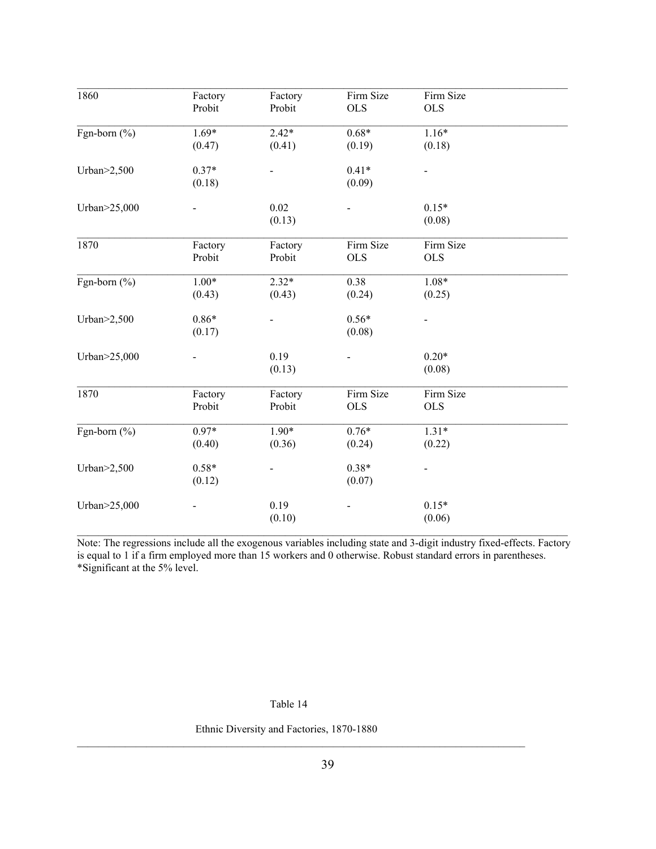| 1860                             | Factory | Factory | Firm Size  | Firm Size  |  |
|----------------------------------|---------|---------|------------|------------|--|
|                                  | Probit  | Probit  | <b>OLS</b> | <b>OLS</b> |  |
| Fgn-born $(\% )$                 | $1.69*$ | $2.42*$ | $0.68*$    | $1.16*$    |  |
|                                  | (0.47)  | (0.41)  | (0.19)     | (0.18)     |  |
| Urban $>2,500$                   | $0.37*$ |         | $0.41*$    |            |  |
|                                  | (0.18)  |         | (0.09)     |            |  |
| Urban>25,000                     |         | 0.02    |            | $0.15*$    |  |
|                                  |         | (0.13)  |            | (0.08)     |  |
| 1870                             | Factory | Factory | Firm Size  | Firm Size  |  |
|                                  | Probit  | Probit  | <b>OLS</b> | <b>OLS</b> |  |
| Fgn-born (%)                     | $1.00*$ | $2.32*$ | 0.38       | $1.08*$    |  |
|                                  | (0.43)  | (0.43)  | (0.24)     | (0.25)     |  |
| Urban $\geq$ 2,500               | $0.86*$ |         | $0.56*$    |            |  |
|                                  | (0.17)  |         | (0.08)     |            |  |
| Urban>25,000                     |         | 0.19    |            | $0.20*$    |  |
|                                  |         | (0.13)  |            | (0.08)     |  |
| 1870                             | Factory | Factory | Firm Size  | Firm Size  |  |
|                                  | Probit  | Probit  | <b>OLS</b> | <b>OLS</b> |  |
| $\overline{\text{Fgn-born}(\%)}$ | $0.97*$ | $1.90*$ | $0.76*$    | $1.31*$    |  |
|                                  | (0.40)  | (0.36)  | (0.24)     | (0.22)     |  |
| Urban $>2,500$                   | $0.58*$ |         | $0.38*$    |            |  |
|                                  | (0.12)  |         | (0.07)     |            |  |
| Urban>25,000                     |         | 0.19    |            | $0.15*$    |  |
|                                  |         | (0.10)  |            | (0.06)     |  |

Note: The regressions include all the exogenous variables including state and 3-digit industry fixed-effects. Factory is equal to 1 if a firm employed more than 15 workers and 0 otherwise. Robust standard errors in parentheses. \*Significant at the 5% level.

Table 14

Ethnic Diversity and Factories, 1870-1880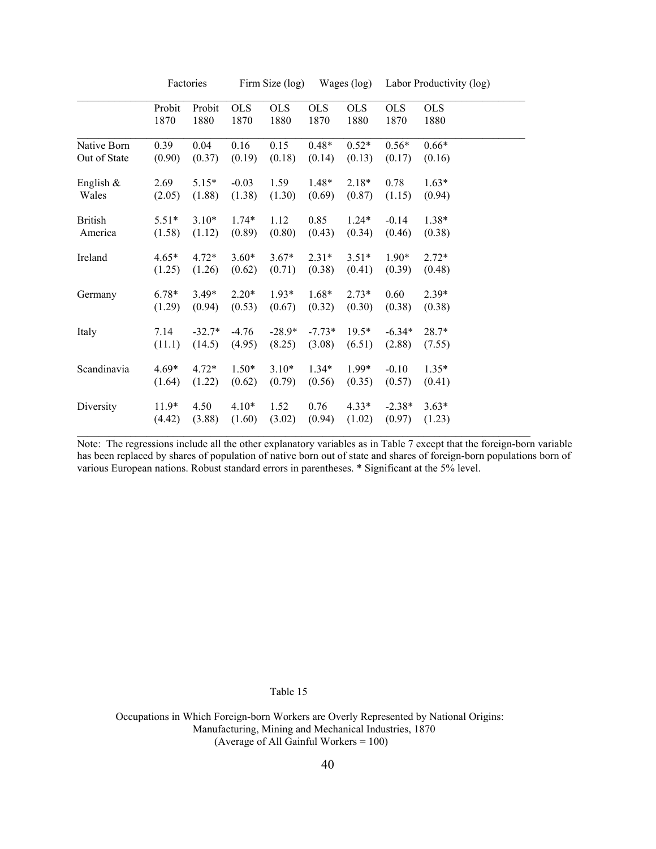|                |         | Factories |            | Firm Size (log)<br>Wages (log) |            |            | Labor Productivity (log) |            |
|----------------|---------|-----------|------------|--------------------------------|------------|------------|--------------------------|------------|
|                | Probit  | Probit    | <b>OLS</b> | <b>OLS</b>                     | <b>OLS</b> | <b>OLS</b> | <b>OLS</b>               | <b>OLS</b> |
|                | 1870    | 1880      | 1870       | 1880                           | 1870       | 1880       | 1870                     | 1880       |
| Native Born    | 0.39    | 0.04      | 0.16       | 0.15                           | $0.48*$    | $0.52*$    | $0.56*$                  | $0.66*$    |
| Out of State   | (0.90)  | (0.37)    | (0.19)     | (0.18)                         | (0.14)     | (0.13)     | (0.17)                   | (0.16)     |
| English $\&$   | 2.69    | $5.15*$   | $-0.03$    | 1.59                           | $1.48*$    | $2.18*$    | 0.78                     | $1.63*$    |
| Wales          | (2.05)  | (1.88)    | (1.38)     | (1.30)                         | (0.69)     | (0.87)     | (1.15)                   | (0.94)     |
| <b>British</b> | $5.51*$ | $3.10*$   | $1.74*$    | 1.12                           | 0.85       | $1.24*$    | $-0.14$                  | $1.38*$    |
| America        | (1.58)  | (1.12)    | (0.89)     | (0.80)                         | (0.43)     | (0.34)     | (0.46)                   | (0.38)     |
| Ireland        | $4.65*$ | $4.72*$   | $3.60*$    | $3.67*$                        | $2.31*$    | $3.51*$    | $1.90*$                  | $2.72*$    |
|                | (1.25)  | (1.26)    | (0.62)     | (0.71)                         | (0.38)     | (0.41)     | (0.39)                   | (0.48)     |
| Germany        | $6.78*$ | $3.49*$   | $2.20*$    | $1.93*$                        | $1.68*$    | $2.73*$    | 0.60                     | $2.39*$    |
|                | (1.29)  | (0.94)    | (0.53)     | (0.67)                         | (0.32)     | (0.30)     | (0.38)                   | (0.38)     |
| Italy          | 7.14    | $-32.7*$  | $-4.76$    | $-28.9*$                       | $-7.73*$   | $19.5*$    | $-6.34*$                 | $28.7*$    |
|                | (11.1)  | (14.5)    | (4.95)     | (8.25)                         | (3.08)     | (6.51)     | (2.88)                   | (7.55)     |
| Scandinavia    | $4.69*$ | $4.72*$   | $1.50*$    | $3.10*$                        | $1.34*$    | 1.99*      | $-0.10$                  | $1.35*$    |
|                | (1.64)  | (1.22)    | (0.62)     | (0.79)                         | (0.56)     | (0.35)     | (0.57)                   | (0.41)     |
| Diversity      | $11.9*$ | 4.50      | $4.10*$    | 1.52                           | 0.76       | $4.33*$    | $-2.38*$                 | $3.63*$    |
|                | (4.42)  | (3.88)    | (1.60)     | (3.02)                         | (0.94)     | (1.02)     | (0.97)                   | (1.23)     |

Note: The regressions include all the other explanatory variables as in Table 7 except that the foreign-born variable has been replaced by shares of population of native born out of state and shares of foreign-born populations born of various European nations. Robust standard errors in parentheses. \* Significant at the 5% level.

Table 15

 Occupations in Which Foreign-born Workers are Overly Represented by National Origins: Manufacturing, Mining and Mechanical Industries, 1870 (Average of All Gainful Workers = 100)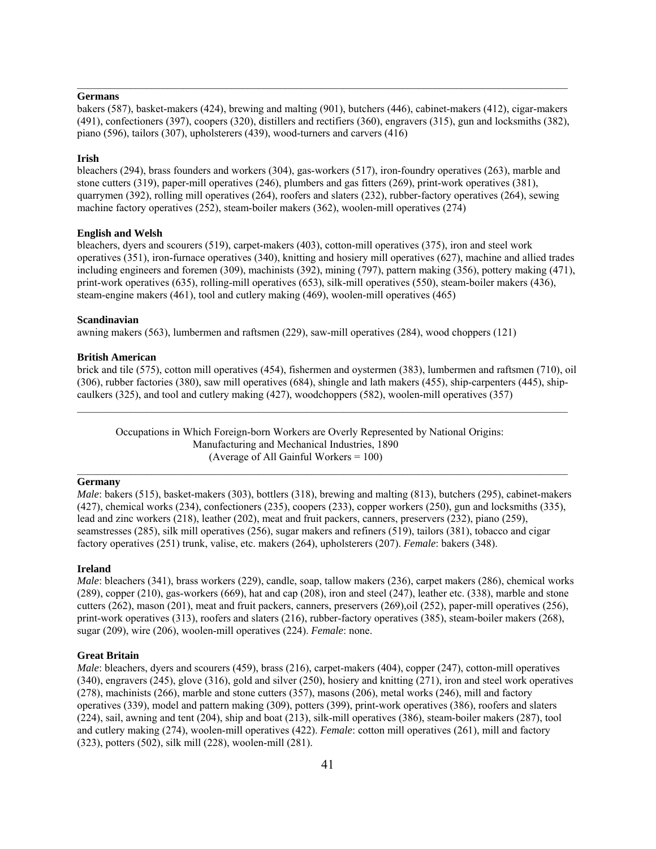#### **Germans**

bakers (587), basket-makers (424), brewing and malting (901), butchers (446), cabinet-makers (412), cigar-makers (491), confectioners (397), coopers (320), distillers and rectifiers (360), engravers (315), gun and locksmiths (382), piano (596), tailors (307), upholsterers (439), wood-turners and carvers (416)

 $\mathcal{L}_\mathcal{L} = \mathcal{L}_\mathcal{L}$ 

#### **Irish**

bleachers (294), brass founders and workers (304), gas-workers (517), iron-foundry operatives (263), marble and stone cutters (319), paper-mill operatives (246), plumbers and gas fitters (269), print-work operatives (381), quarrymen (392), rolling mill operatives (264), roofers and slaters (232), rubber-factory operatives (264), sewing machine factory operatives (252), steam-boiler makers (362), woolen-mill operatives (274)

#### **English and Welsh**

bleachers, dyers and scourers (519), carpet-makers (403), cotton-mill operatives (375), iron and steel work operatives (351), iron-furnace operatives (340), knitting and hosiery mill operatives (627), machine and allied trades including engineers and foremen (309), machinists (392), mining (797), pattern making (356), pottery making (471), print-work operatives (635), rolling-mill operatives (653), silk-mill operatives (550), steam-boiler makers (436), steam-engine makers (461), tool and cutlery making (469), woolen-mill operatives (465)

#### **Scandinavian**

awning makers (563), lumbermen and raftsmen (229), saw-mill operatives (284), wood choppers (121)

#### **British American**

brick and tile (575), cotton mill operatives (454), fishermen and oystermen (383), lumbermen and raftsmen (710), oil (306), rubber factories (380), saw mill operatives (684), shingle and lath makers (455), ship-carpenters (445), shipcaulkers (325), and tool and cutlery making (427), woodchoppers (582), woolen-mill operatives (357)

 Occupations in Which Foreign-born Workers are Overly Represented by National Origins: Manufacturing and Mechanical Industries, 1890 (Average of All Gainful Workers = 100)

### **Germany**

*Male*: bakers (515), basket-makers (303), bottlers (318), brewing and malting (813), butchers (295), cabinet-makers (427), chemical works (234), confectioners (235), coopers (233), copper workers (250), gun and locksmiths (335), lead and zinc workers (218), leather (202), meat and fruit packers, canners, preservers (232), piano (259), seamstresses (285), silk mill operatives (256), sugar makers and refiners (519), tailors (381), tobacco and cigar factory operatives (251) trunk, valise, etc. makers (264), upholsterers (207). *Female*: bakers (348).

#### **Ireland**

*Male*: bleachers (341), brass workers (229), candle, soap, tallow makers (236), carpet makers (286), chemical works (289), copper (210), gas-workers (669), hat and cap (208), iron and steel (247), leather etc. (338), marble and stone cutters (262), mason (201), meat and fruit packers, canners, preservers (269),oil (252), paper-mill operatives (256), print-work operatives (313), roofers and slaters (216), rubber-factory operatives (385), steam-boiler makers (268), sugar (209), wire (206), woolen-mill operatives (224). *Female*: none.

#### **Great Britain**

*Male*: bleachers, dyers and scourers (459), brass (216), carpet-makers (404), copper (247), cotton-mill operatives (340), engravers (245), glove (316), gold and silver (250), hosiery and knitting (271), iron and steel work operatives (278), machinists (266), marble and stone cutters (357), masons (206), metal works (246), mill and factory operatives (339), model and pattern making (309), potters (399), print-work operatives (386), roofers and slaters (224), sail, awning and tent (204), ship and boat (213), silk-mill operatives (386), steam-boiler makers (287), tool and cutlery making (274), woolen-mill operatives (422). *Female*: cotton mill operatives (261), mill and factory (323), potters (502), silk mill (228), woolen-mill (281).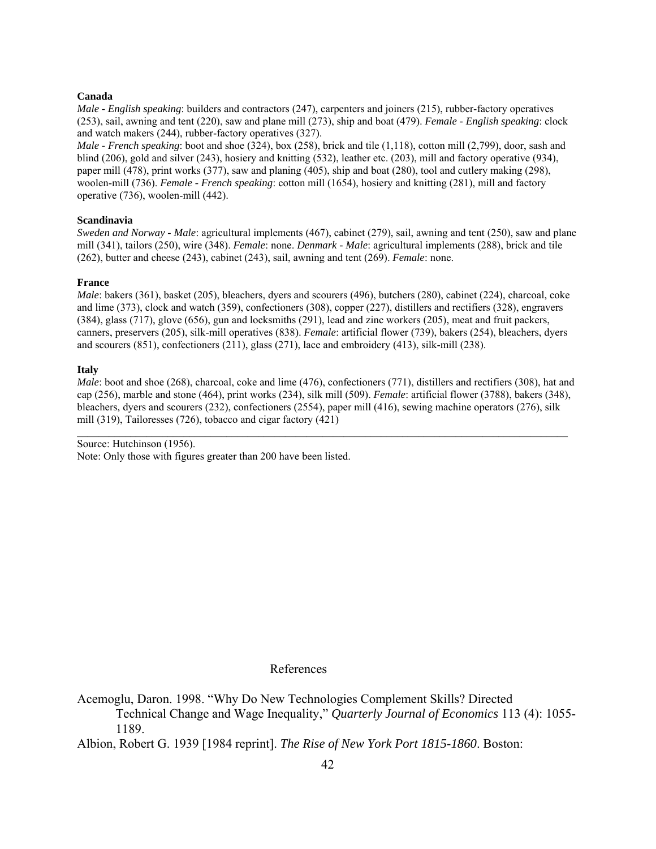#### **Canada**

*Male - English speaking*: builders and contractors (247), carpenters and joiners (215), rubber-factory operatives (253), sail, awning and tent (220), saw and plane mill (273), ship and boat (479). *Female - English speaking*: clock and watch makers (244), rubber-factory operatives (327).

*Male - French speaking*: boot and shoe (324), box (258), brick and tile (1,118), cotton mill (2,799), door, sash and blind (206), gold and silver (243), hosiery and knitting (532), leather etc. (203), mill and factory operative (934), paper mill (478), print works (377), saw and planing (405), ship and boat (280), tool and cutlery making (298), woolen-mill (736). *Female - French speaking*: cotton mill (1654), hosiery and knitting (281), mill and factory operative (736), woolen-mill (442).

#### **Scandinavia**

*Sweden and Norway - Male*: agricultural implements (467), cabinet (279), sail, awning and tent (250), saw and plane mill (341), tailors (250), wire (348). *Female*: none. *Denmark - Male*: agricultural implements (288), brick and tile (262), butter and cheese (243), cabinet (243), sail, awning and tent (269). *Female*: none.

#### **France**

*Male*: bakers (361), basket (205), bleachers, dyers and scourers (496), butchers (280), cabinet (224), charcoal, coke and lime (373), clock and watch (359), confectioners (308), copper (227), distillers and rectifiers (328), engravers (384), glass (717), glove (656), gun and locksmiths (291), lead and zinc workers (205), meat and fruit packers, canners, preservers (205), silk-mill operatives (838). *Female*: artificial flower (739), bakers (254), bleachers, dyers and scourers (851), confectioners (211), glass (271), lace and embroidery (413), silk-mill (238).

#### **Italy**

*Male*: boot and shoe (268), charcoal, coke and lime (476), confectioners (771), distillers and rectifiers (308), hat and cap (256), marble and stone (464), print works (234), silk mill (509). *Female*: artificial flower (3788), bakers (348), bleachers, dyers and scourers (232), confectioners (2554), paper mill (416), sewing machine operators (276), silk mill (319), Tailoresses (726), tobacco and cigar factory (421)

 $\mathcal{L}_\mathcal{L} = \mathcal{L}_\mathcal{L}$ 

Source: Hutchinson (1956). Note: Only those with figures greater than 200 have been listed.

### References

Acemoglu, Daron. 1998. "Why Do New Technologies Complement Skills? Directed Technical Change and Wage Inequality," *Quarterly Journal of Economics* 113 (4): 1055- 1189.

Albion, Robert G. 1939 [1984 reprint]. *The Rise of New York Port 1815-1860*. Boston: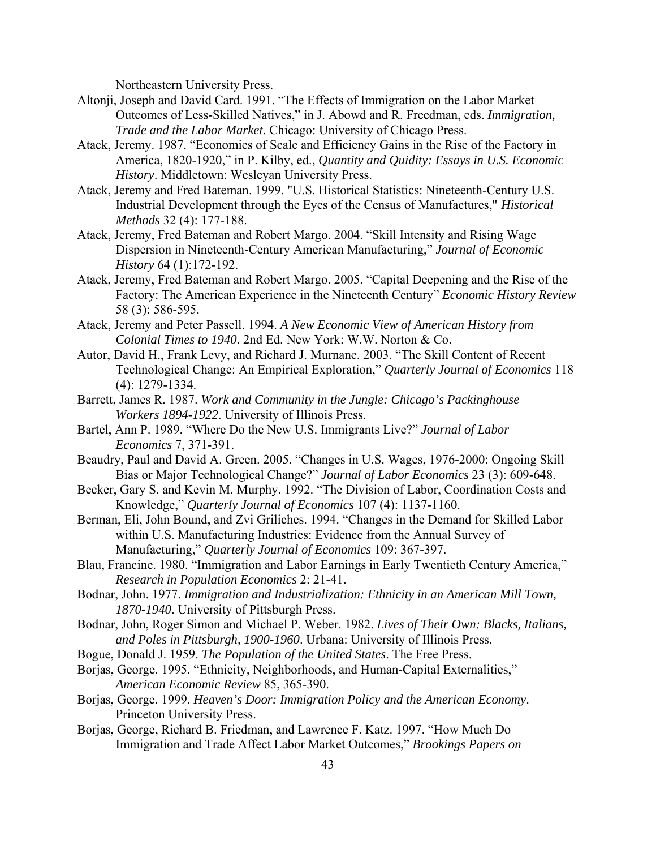Northeastern University Press.

- Altonji, Joseph and David Card. 1991. "The Effects of Immigration on the Labor Market Outcomes of Less-Skilled Natives," in J. Abowd and R. Freedman, eds. *Immigration, Trade and the Labor Market*. Chicago: University of Chicago Press.
- Atack, Jeremy. 1987. "Economies of Scale and Efficiency Gains in the Rise of the Factory in America, 1820-1920," in P. Kilby, ed., *Quantity and Quidity: Essays in U.S. Economic History*. Middletown: Wesleyan University Press.
- Atack, Jeremy and Fred Bateman. 1999. "U.S. Historical Statistics: Nineteenth-Century U.S. Industrial Development through the Eyes of the Census of Manufactures," *Historical Methods* 32 (4): 177-188.
- Atack, Jeremy, Fred Bateman and Robert Margo. 2004. "Skill Intensity and Rising Wage Dispersion in Nineteenth-Century American Manufacturing," *Journal of Economic History* 64 (1):172-192.
- Atack, Jeremy, Fred Bateman and Robert Margo. 2005. "Capital Deepening and the Rise of the Factory: The American Experience in the Nineteenth Century" *Economic History Review* 58 (3): 586-595.
- Atack, Jeremy and Peter Passell. 1994. *A New Economic View of American History from Colonial Times to 1940*. 2nd Ed. New York: W.W. Norton & Co.
- Autor, David H., Frank Levy, and Richard J. Murnane. 2003. "The Skill Content of Recent Technological Change: An Empirical Exploration," *Quarterly Journal of Economics* 118 (4): 1279-1334.
- Barrett, James R. 1987. *Work and Community in the Jungle: Chicago's Packinghouse Workers 1894-1922*. University of Illinois Press.
- Bartel, Ann P. 1989. "Where Do the New U.S. Immigrants Live?" *Journal of Labor Economics* 7, 371-391.
- Beaudry, Paul and David A. Green. 2005. "Changes in U.S. Wages, 1976-2000: Ongoing Skill Bias or Major Technological Change?" *Journal of Labor Economics* 23 (3): 609-648.
- Becker, Gary S. and Kevin M. Murphy. 1992. "The Division of Labor, Coordination Costs and Knowledge," *Quarterly Journal of Economics* 107 (4): 1137-1160.
- Berman, Eli, John Bound, and Zvi Griliches. 1994. "Changes in the Demand for Skilled Labor within U.S. Manufacturing Industries: Evidence from the Annual Survey of Manufacturing," *Quarterly Journal of Economics* 109: 367-397.
- Blau, Francine. 1980. "Immigration and Labor Earnings in Early Twentieth Century America," *Research in Population Economics* 2: 21-41.
- Bodnar, John. 1977. *Immigration and Industrialization: Ethnicity in an American Mill Town, 1870-1940*. University of Pittsburgh Press.
- Bodnar, John, Roger Simon and Michael P. Weber. 1982. *Lives of Their Own: Blacks, Italians, and Poles in Pittsburgh, 1900-1960*. Urbana: University of Illinois Press.
- Bogue, Donald J. 1959. *The Population of the United States*. The Free Press.
- Borjas, George. 1995. "Ethnicity, Neighborhoods, and Human-Capital Externalities," *American Economic Review* 85, 365-390.
- Borjas, George. 1999. *Heaven's Door: Immigration Policy and the American Economy*. Princeton University Press.
- Borjas, George, Richard B. Friedman, and Lawrence F. Katz. 1997. "How Much Do Immigration and Trade Affect Labor Market Outcomes," *Brookings Papers on*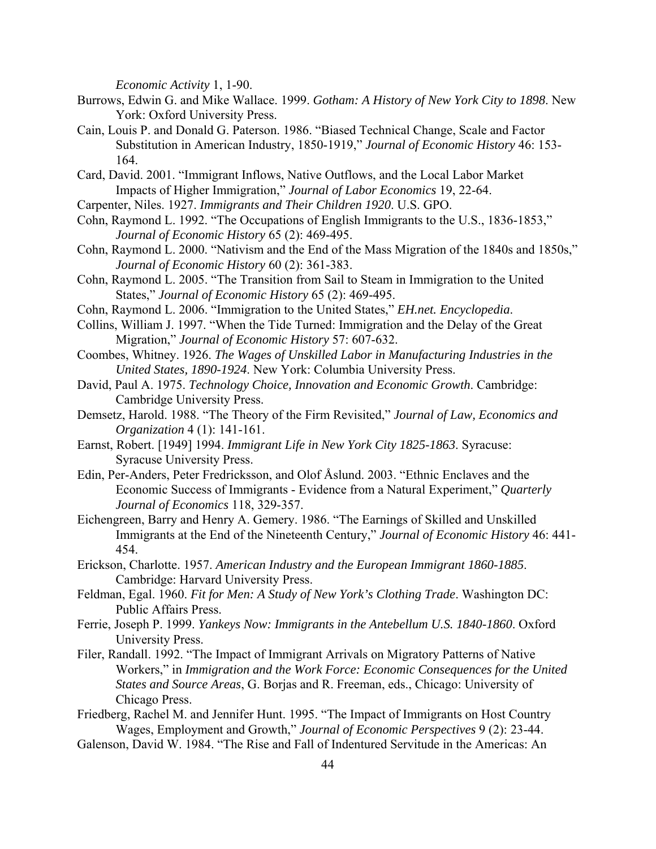*Economic Activity* 1, 1-90.

- Burrows, Edwin G. and Mike Wallace. 1999. *Gotham: A History of New York City to 1898*. New York: Oxford University Press.
- Cain, Louis P. and Donald G. Paterson. 1986. "Biased Technical Change, Scale and Factor Substitution in American Industry, 1850-1919," *Journal of Economic History* 46: 153- 164.
- Card, David. 2001. "Immigrant Inflows, Native Outflows, and the Local Labor Market Impacts of Higher Immigration," *Journal of Labor Economics* 19, 22-64.
- Carpenter, Niles. 1927. *Immigrants and Their Children 1920*. U.S. GPO.
- Cohn, Raymond L. 1992. "The Occupations of English Immigrants to the U.S., 1836-1853," *Journal of Economic History* 65 (2): 469-495.
- Cohn, Raymond L. 2000. "Nativism and the End of the Mass Migration of the 1840s and 1850s," *Journal of Economic History* 60 (2): 361-383.
- Cohn, Raymond L. 2005. "The Transition from Sail to Steam in Immigration to the United States," *Journal of Economic History* 65 (2): 469-495.
- Cohn, Raymond L. 2006. "Immigration to the United States," *EH.net. Encyclopedia*.
- Collins, William J. 1997. "When the Tide Turned: Immigration and the Delay of the Great Migration," *Journal of Economic History* 57: 607-632.
- Coombes, Whitney. 1926. *The Wages of Unskilled Labor in Manufacturing Industries in the United States, 1890-1924*. New York: Columbia University Press.
- David, Paul A. 1975. *Technology Choice, Innovation and Economic Growth*. Cambridge: Cambridge University Press.
- Demsetz, Harold. 1988. "The Theory of the Firm Revisited," *Journal of Law, Economics and Organization* 4 (1): 141-161.
- Earnst, Robert. [1949] 1994. *Immigrant Life in New York City 1825-1863*. Syracuse: Syracuse University Press.
- Edin, Per-Anders, Peter Fredricksson, and Olof Åslund. 2003. "Ethnic Enclaves and the Economic Success of Immigrants - Evidence from a Natural Experiment," *Quarterly Journal of Economics* 118, 329-357.
- Eichengreen, Barry and Henry A. Gemery. 1986. "The Earnings of Skilled and Unskilled Immigrants at the End of the Nineteenth Century," *Journal of Economic History* 46: 441- 454.
- Erickson, Charlotte. 1957. *American Industry and the European Immigrant 1860-1885*. Cambridge: Harvard University Press.
- Feldman, Egal. 1960. *Fit for Men: A Study of New York's Clothing Trade*. Washington DC: Public Affairs Press.
- Ferrie, Joseph P. 1999. *Yankeys Now: Immigrants in the Antebellum U.S. 1840-1860*. Oxford University Press.
- Filer, Randall. 1992. "The Impact of Immigrant Arrivals on Migratory Patterns of Native Workers," in *Immigration and the Work Force: Economic Consequences for the United States and Source Areas*, G. Borjas and R. Freeman, eds., Chicago: University of Chicago Press.
- Friedberg, Rachel M. and Jennifer Hunt. 1995. "The Impact of Immigrants on Host Country Wages, Employment and Growth," *Journal of Economic Perspectives* 9 (2): 23-44.
- Galenson, David W. 1984. "The Rise and Fall of Indentured Servitude in the Americas: An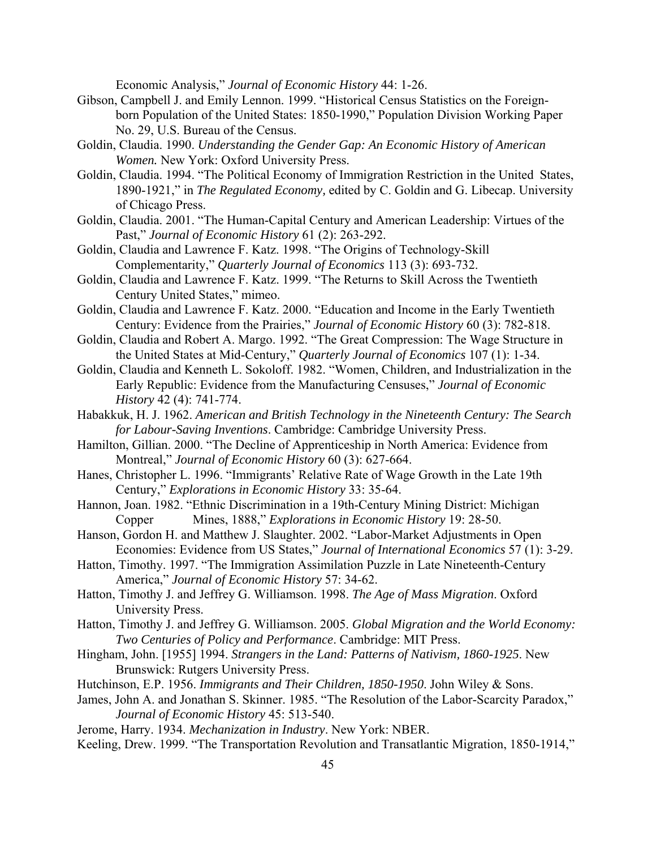Economic Analysis," *Journal of Economic History* 44: 1-26.

- Gibson, Campbell J. and Emily Lennon. 1999. "Historical Census Statistics on the Foreign born Population of the United States: 1850-1990," Population Division Working Paper No. 29, U.S. Bureau of the Census.
- Goldin, Claudia. 1990. *Understanding the Gender Gap: An Economic History of American Women.* New York: Oxford University Press.
- Goldin, Claudia. 1994. "The Political Economy of Immigration Restriction in the United States, 1890-1921," in *The Regulated Economy,* edited by C. Goldin and G. Libecap. University of Chicago Press.
- Goldin, Claudia. 2001. "The Human-Capital Century and American Leadership: Virtues of the Past," *Journal of Economic History* 61 (2): 263-292.
- Goldin, Claudia and Lawrence F. Katz. 1998. "The Origins of Technology-Skill Complementarity," *Quarterly Journal of Economics* 113 (3): 693-732.
- Goldin, Claudia and Lawrence F. Katz. 1999. "The Returns to Skill Across the Twentieth Century United States," mimeo.
- Goldin, Claudia and Lawrence F. Katz. 2000. "Education and Income in the Early Twentieth Century: Evidence from the Prairies," *Journal of Economic History* 60 (3): 782-818.
- Goldin, Claudia and Robert A. Margo. 1992. "The Great Compression: The Wage Structure in the United States at Mid-Century," *Quarterly Journal of Economics* 107 (1): 1-34.
- Goldin, Claudia and Kenneth L. Sokoloff. 1982. "Women, Children, and Industrialization in the Early Republic: Evidence from the Manufacturing Censuses," *Journal of Economic History* 42 (4): 741-774.
- Habakkuk, H. J. 1962. *American and British Technology in the Nineteenth Century: The Search for Labour-Saving Inventions*. Cambridge: Cambridge University Press.
- Hamilton, Gillian. 2000. "The Decline of Apprenticeship in North America: Evidence from Montreal," *Journal of Economic History* 60 (3): 627-664.
- Hanes, Christopher L. 1996. "Immigrants' Relative Rate of Wage Growth in the Late 19th Century," *Explorations in Economic History* 33: 35-64.
- Hannon, Joan. 1982. "Ethnic Discrimination in a 19th-Century Mining District: Michigan Copper Mines, 1888," *Explorations in Economic History* 19: 28-50.
- Hanson, Gordon H. and Matthew J. Slaughter. 2002. "Labor-Market Adjustments in Open Economies: Evidence from US States," *Journal of International Economics* 57 (1): 3-29.
- Hatton, Timothy. 1997. "The Immigration Assimilation Puzzle in Late Nineteenth-Century America," *Journal of Economic History* 57: 34-62.
- Hatton, Timothy J. and Jeffrey G. Williamson. 1998. *The Age of Mass Migration*. Oxford University Press.
- Hatton, Timothy J. and Jeffrey G. Williamson. 2005. *Global Migration and the World Economy: Two Centuries of Policy and Performance*. Cambridge: MIT Press.
- Hingham, John. [1955] 1994. *Strangers in the Land: Patterns of Nativism, 1860-1925*. New Brunswick: Rutgers University Press.
- Hutchinson, E.P. 1956. *Immigrants and Their Children, 1850-1950*. John Wiley & Sons.
- James, John A. and Jonathan S. Skinner. 1985. "The Resolution of the Labor-Scarcity Paradox," *Journal of Economic History* 45: 513-540.
- Jerome, Harry. 1934. *Mechanization in Industry*. New York: NBER.
- Keeling, Drew. 1999. "The Transportation Revolution and Transatlantic Migration, 1850-1914,"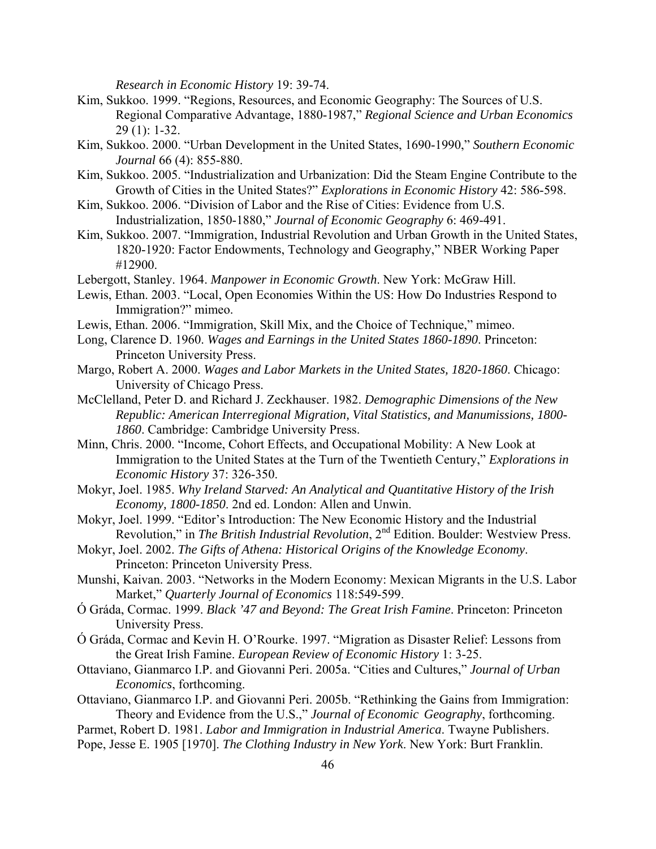*Research in Economic History* 19: 39-74.

- Kim, Sukkoo. 1999. "Regions, Resources, and Economic Geography: The Sources of U.S. Regional Comparative Advantage, 1880-1987," *Regional Science and Urban Economics* 29 (1): 1-32.
- Kim, Sukkoo. 2000. "Urban Development in the United States, 1690-1990," *Southern Economic Journal* 66 (4): 855-880.
- Kim, Sukkoo. 2005. "Industrialization and Urbanization: Did the Steam Engine Contribute to the Growth of Cities in the United States?" *Explorations in Economic History* 42: 586-598.
- Kim, Sukkoo. 2006. "Division of Labor and the Rise of Cities: Evidence from U.S. Industrialization, 1850-1880," *Journal of Economic Geography* 6: 469-491.
- Kim, Sukkoo. 2007. "Immigration, Industrial Revolution and Urban Growth in the United States, 1820-1920: Factor Endowments, Technology and Geography," NBER Working Paper #12900.
- Lebergott, Stanley. 1964. *Manpower in Economic Growth*. New York: McGraw Hill.
- Lewis, Ethan. 2003. "Local, Open Economies Within the US: How Do Industries Respond to Immigration?" mimeo.
- Lewis, Ethan. 2006. "Immigration, Skill Mix, and the Choice of Technique," mimeo.
- Long, Clarence D. 1960. *Wages and Earnings in the United States 1860-1890*. Princeton: Princeton University Press.
- Margo, Robert A. 2000. *Wages and Labor Markets in the United States, 1820-1860*. Chicago: University of Chicago Press.
- McClelland, Peter D. and Richard J. Zeckhauser. 1982. *Demographic Dimensions of the New Republic: American Interregional Migration, Vital Statistics, and Manumissions, 1800- 1860*. Cambridge: Cambridge University Press.
- Minn, Chris. 2000. "Income, Cohort Effects, and Occupational Mobility: A New Look at Immigration to the United States at the Turn of the Twentieth Century," *Explorations in Economic History* 37: 326-350.
- Mokyr, Joel. 1985. *Why Ireland Starved: An Analytical and Quantitative History of the Irish Economy, 1800-1850*. 2nd ed. London: Allen and Unwin.
- Mokyr, Joel. 1999. "Editor's Introduction: The New Economic History and the Industrial Revolution," in *The British Industrial Revolution*, 2nd Edition. Boulder: Westview Press.
- Mokyr, Joel. 2002. *The Gifts of Athena: Historical Origins of the Knowledge Economy*. Princeton: Princeton University Press.
- Munshi, Kaivan. 2003. "Networks in the Modern Economy: Mexican Migrants in the U.S. Labor Market," *Quarterly Journal of Economics* 118:549-599.
- Ó Gráda, Cormac. 1999. *Black '47 and Beyond: The Great Irish Famine*. Princeton: Princeton University Press.
- Ó Gráda, Cormac and Kevin H. O'Rourke. 1997. "Migration as Disaster Relief: Lessons from the Great Irish Famine. *European Review of Economic History* 1: 3-25.
- Ottaviano, Gianmarco I.P. and Giovanni Peri. 2005a. "Cities and Cultures," *Journal of Urban Economics*, forthcoming.
- Ottaviano, Gianmarco I.P. and Giovanni Peri. 2005b. "Rethinking the Gains from Immigration: Theory and Evidence from the U.S.," *Journal of Economic Geography*, forthcoming.

Parmet, Robert D. 1981. *Labor and Immigration in Industrial America*. Twayne Publishers.

Pope, Jesse E. 1905 [1970]. *The Clothing Industry in New York*. New York: Burt Franklin.